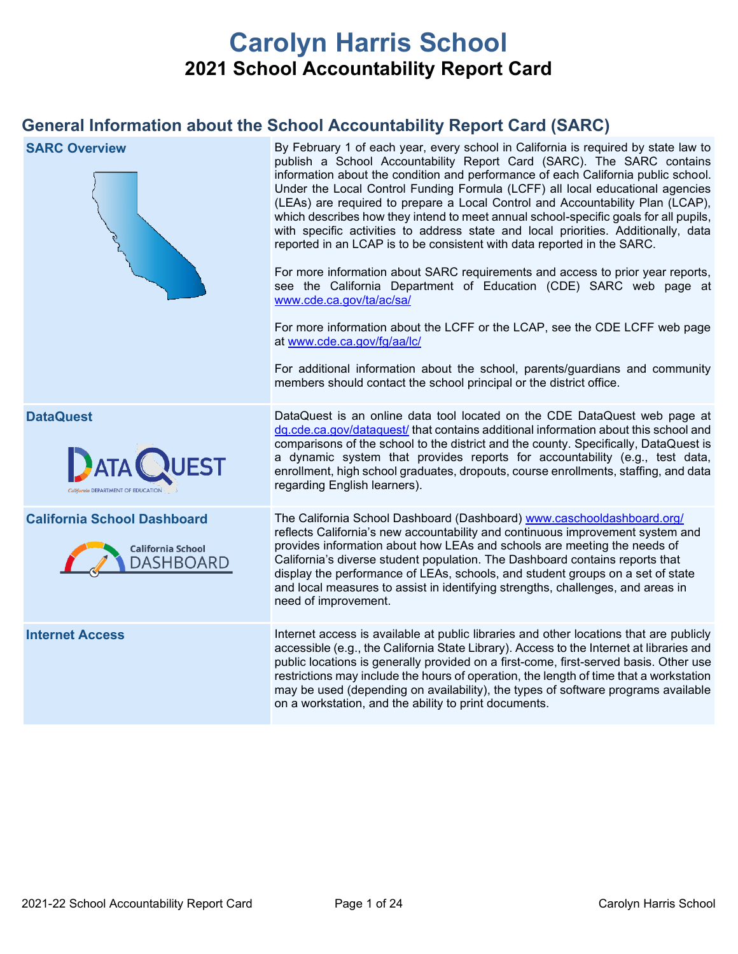# **Carolyn Harris School 2021 School Accountability Report Card**

## **General Information about the School Accountability Report Card (SARC)**

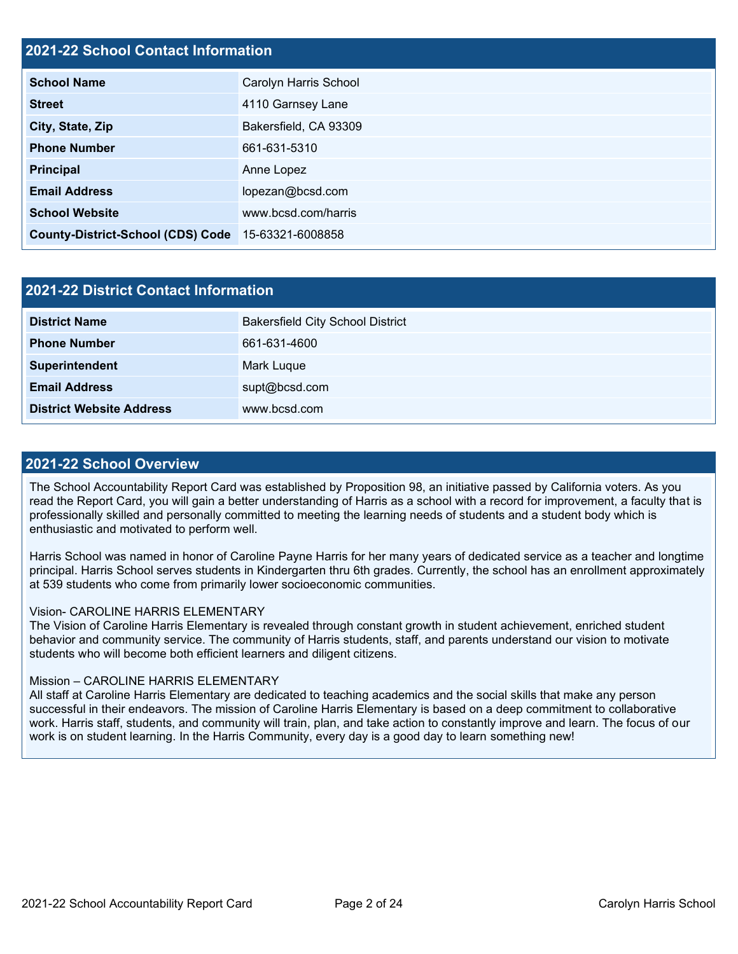## **2021-22 School Contact Information**

| <b>School Name</b>                                 | Carolyn Harris School |
|----------------------------------------------------|-----------------------|
| <b>Street</b>                                      | 4110 Garnsey Lane     |
| City, State, Zip                                   | Bakersfield, CA 93309 |
| <b>Phone Number</b>                                | 661-631-5310          |
| <b>Principal</b>                                   | Anne Lopez            |
| <b>Email Address</b>                               | lopezan@bcsd.com      |
| <b>School Website</b>                              | www.bcsd.com/harris   |
| County-District-School (CDS) Code 15-63321-6008858 |                       |

| <b>2021-22 District Contact Information</b> |                                         |  |  |
|---------------------------------------------|-----------------------------------------|--|--|
| <b>District Name</b>                        | <b>Bakersfield City School District</b> |  |  |
| <b>Phone Number</b>                         | 661-631-4600                            |  |  |
| Superintendent                              | Mark Luque                              |  |  |
| <b>Email Address</b>                        | supt@bcsd.com                           |  |  |
| <b>District Website Address</b>             | www.bcsd.com                            |  |  |

### **2021-22 School Overview**

The School Accountability Report Card was established by Proposition 98, an initiative passed by California voters. As you read the Report Card, you will gain a better understanding of Harris as a school with a record for improvement, a faculty that is professionally skilled and personally committed to meeting the learning needs of students and a student body which is enthusiastic and motivated to perform well.

Harris School was named in honor of Caroline Payne Harris for her many years of dedicated service as a teacher and longtime principal. Harris School serves students in Kindergarten thru 6th grades. Currently, the school has an enrollment approximately at 539 students who come from primarily lower socioeconomic communities.

#### Vision- CAROLINE HARRIS ELEMENTARY

The Vision of Caroline Harris Elementary is revealed through constant growth in student achievement, enriched student behavior and community service. The community of Harris students, staff, and parents understand our vision to motivate students who will become both efficient learners and diligent citizens.

### Mission – CAROLINE HARRIS ELEMENTARY

All staff at Caroline Harris Elementary are dedicated to teaching academics and the social skills that make any person successful in their endeavors. The mission of Caroline Harris Elementary is based on a deep commitment to collaborative work. Harris staff, students, and community will train, plan, and take action to constantly improve and learn. The focus of our work is on student learning. In the Harris Community, every day is a good day to learn something new!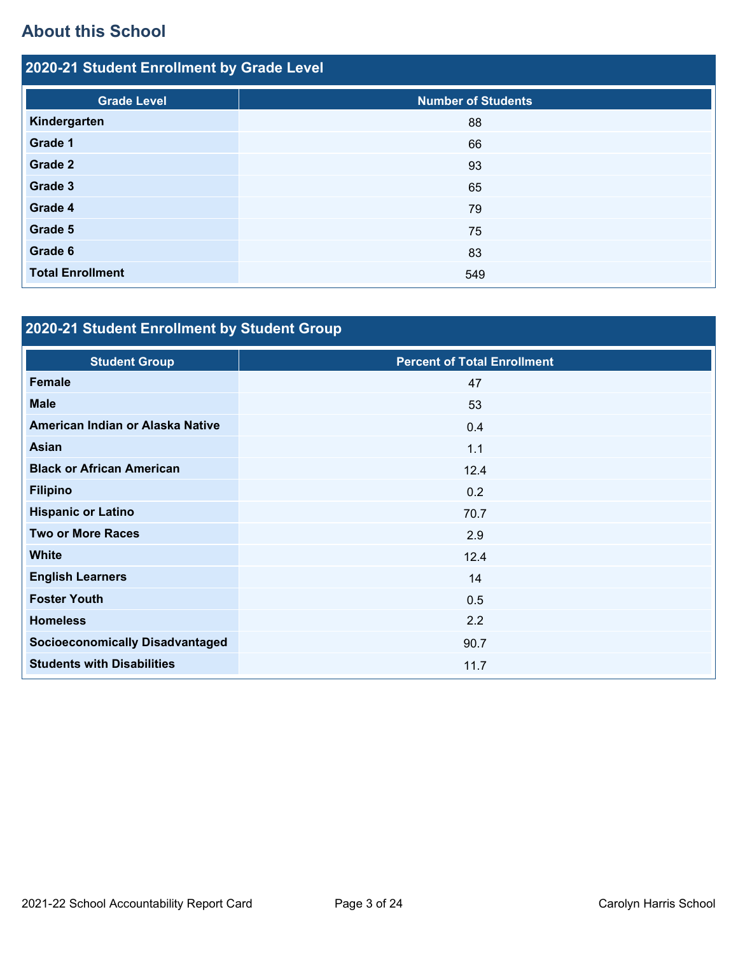# **About this School**

| 2020-21 Student Enrollment by Grade Level |                           |  |  |
|-------------------------------------------|---------------------------|--|--|
| <b>Grade Level</b>                        | <b>Number of Students</b> |  |  |
| Kindergarten                              | 88                        |  |  |
| Grade 1                                   | 66                        |  |  |
| Grade 2                                   | 93                        |  |  |
| Grade 3                                   | 65                        |  |  |
| Grade 4                                   | 79                        |  |  |
| Grade 5                                   | 75                        |  |  |
| Grade 6                                   | 83                        |  |  |
| <b>Total Enrollment</b>                   | 549                       |  |  |

# **2020-21 Student Enrollment by Student Group**

| <b>Student Group</b>                   | <b>Percent of Total Enrollment</b> |
|----------------------------------------|------------------------------------|
| <b>Female</b>                          | 47                                 |
| <b>Male</b>                            | 53                                 |
| American Indian or Alaska Native       | 0.4                                |
| <b>Asian</b>                           | 1.1                                |
| <b>Black or African American</b>       | 12.4                               |
| <b>Filipino</b>                        | 0.2                                |
| <b>Hispanic or Latino</b>              | 70.7                               |
| <b>Two or More Races</b>               | 2.9                                |
| <b>White</b>                           | 12.4                               |
| <b>English Learners</b>                | 14                                 |
| <b>Foster Youth</b>                    | 0.5                                |
| <b>Homeless</b>                        | 2.2                                |
| <b>Socioeconomically Disadvantaged</b> | 90.7                               |
| <b>Students with Disabilities</b>      | 11.7                               |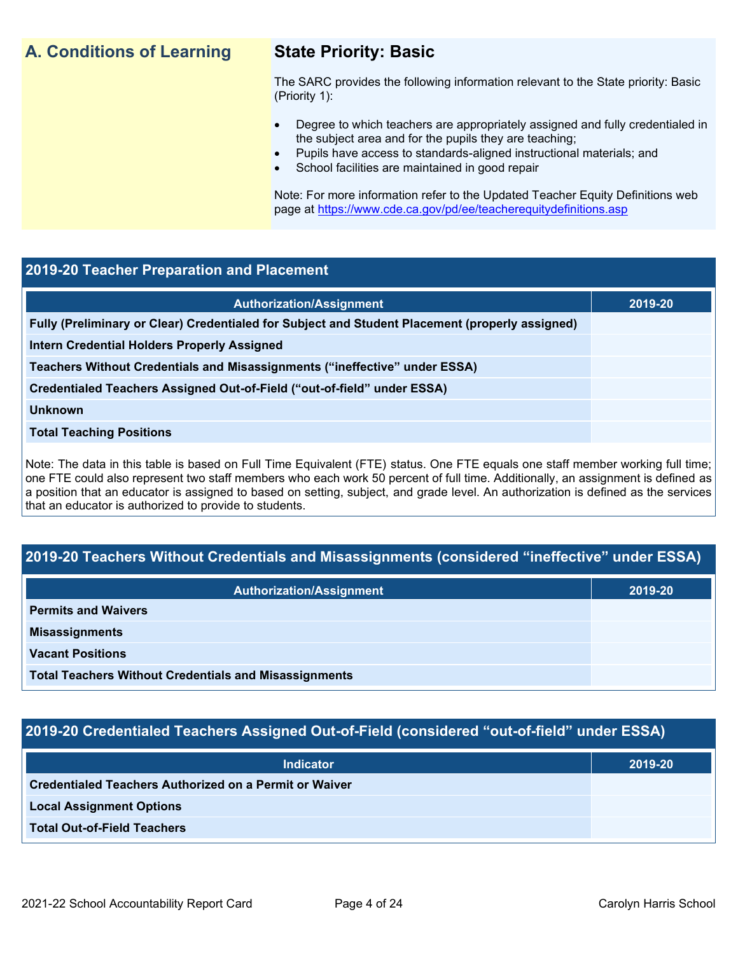## **A. Conditions of Learning State Priority: Basic**

The SARC provides the following information relevant to the State priority: Basic (Priority 1):

- Degree to which teachers are appropriately assigned and fully credentialed in the subject area and for the pupils they are teaching;
	- Pupils have access to standards-aligned instructional materials; and
- School facilities are maintained in good repair

Note: For more information refer to the Updated Teacher Equity Definitions web page at<https://www.cde.ca.gov/pd/ee/teacherequitydefinitions.asp>

## **2019-20 Teacher Preparation and Placement**

| <b>Authorization/Assignment</b>                                                                 | 2019-20 |
|-------------------------------------------------------------------------------------------------|---------|
| Fully (Preliminary or Clear) Credentialed for Subject and Student Placement (properly assigned) |         |
| Intern Credential Holders Properly Assigned                                                     |         |
| Teachers Without Credentials and Misassignments ("ineffective" under ESSA)                      |         |
| Credentialed Teachers Assigned Out-of-Field ("out-of-field" under ESSA)                         |         |
| <b>Unknown</b>                                                                                  |         |
| <b>Total Teaching Positions</b>                                                                 |         |
|                                                                                                 |         |

Note: The data in this table is based on Full Time Equivalent (FTE) status. One FTE equals one staff member working full time; one FTE could also represent two staff members who each work 50 percent of full time. Additionally, an assignment is defined as a position that an educator is assigned to based on setting, subject, and grade level. An authorization is defined as the services that an educator is authorized to provide to students.

## **2019-20 Teachers Without Credentials and Misassignments (considered "ineffective" under ESSA)**

| <b>Authorization/Assignment</b>                              | 2019-20 |
|--------------------------------------------------------------|---------|
| <b>Permits and Waivers</b>                                   |         |
| <b>Misassignments</b>                                        |         |
| <b>Vacant Positions</b>                                      |         |
| <b>Total Teachers Without Credentials and Misassignments</b> |         |

## **2019-20 Credentialed Teachers Assigned Out-of-Field (considered "out-of-field" under ESSA)**

| <b>Indicator</b>                                              | 2019-20 |
|---------------------------------------------------------------|---------|
| <b>Credentialed Teachers Authorized on a Permit or Waiver</b> |         |
| <b>Local Assignment Options</b>                               |         |
| <b>Total Out-of-Field Teachers</b>                            |         |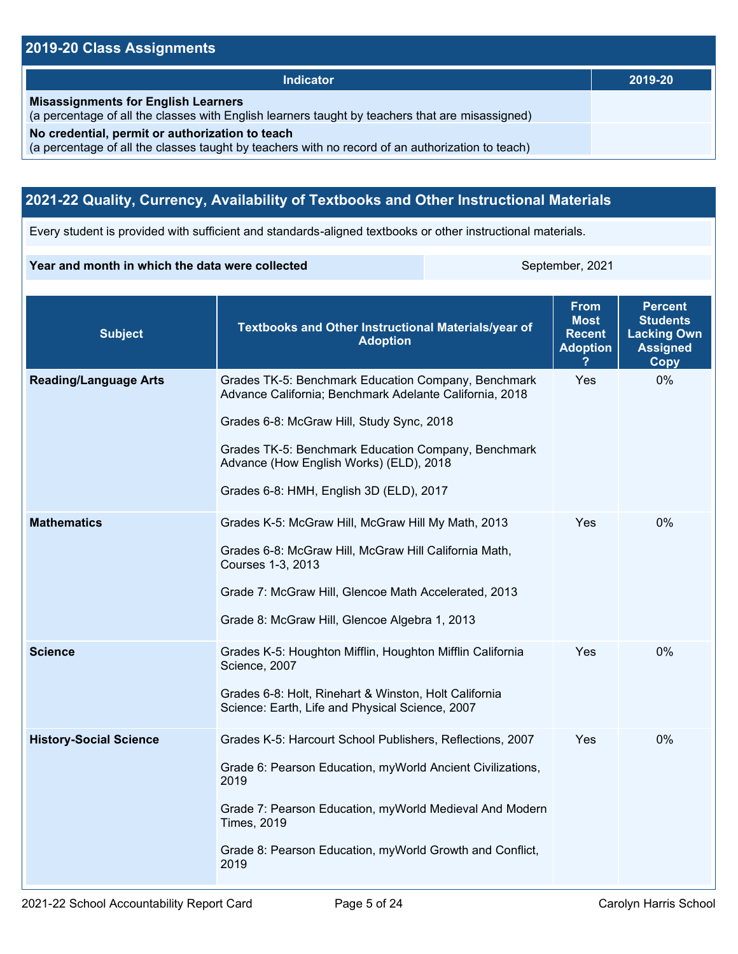## **2019-20 Class Assignments**

| <b>Indicator</b>                                                                                                                                    | 2019-20 |
|-----------------------------------------------------------------------------------------------------------------------------------------------------|---------|
| <b>Misassignments for English Learners</b><br>(a percentage of all the classes with English learners taught by teachers that are misassigned)       |         |
| No credential, permit or authorization to teach<br>(a percentage of all the classes taught by teachers with no record of an authorization to teach) |         |

## **2021-22 Quality, Currency, Availability of Textbooks and Other Instructional Materials**

Every student is provided with sufficient and standards-aligned textbooks or other instructional materials.

### **Year and month in which the data were collected** September, 2021

| <b>Subject</b>                | <b>Textbooks and Other Instructional Materials/year of</b><br><b>Adoption</b>                                                                                                                                                                                                                            | <b>From</b><br><b>Most</b><br><b>Recent</b><br><b>Adoption</b> | <b>Percent</b><br><b>Students</b><br><b>Lacking Own</b><br><b>Assigned</b><br>Copy |
|-------------------------------|----------------------------------------------------------------------------------------------------------------------------------------------------------------------------------------------------------------------------------------------------------------------------------------------------------|----------------------------------------------------------------|------------------------------------------------------------------------------------|
| <b>Reading/Language Arts</b>  | Grades TK-5: Benchmark Education Company, Benchmark<br>Advance California; Benchmark Adelante California, 2018<br>Grades 6-8: McGraw Hill, Study Sync, 2018<br>Grades TK-5: Benchmark Education Company, Benchmark<br>Advance (How English Works) (ELD), 2018<br>Grades 6-8: HMH, English 3D (ELD), 2017 | Yes                                                            | 0%                                                                                 |
| <b>Mathematics</b>            | Grades K-5: McGraw Hill, McGraw Hill My Math, 2013<br>Grades 6-8: McGraw Hill, McGraw Hill California Math,<br>Courses 1-3, 2013<br>Grade 7: McGraw Hill, Glencoe Math Accelerated, 2013<br>Grade 8: McGraw Hill, Glencoe Algebra 1, 2013                                                                | Yes                                                            | 0%                                                                                 |
| <b>Science</b>                | Grades K-5: Houghton Mifflin, Houghton Mifflin California<br>Science, 2007<br>Grades 6-8: Holt, Rinehart & Winston, Holt California<br>Science: Earth, Life and Physical Science, 2007                                                                                                                   | Yes                                                            | $0\%$                                                                              |
| <b>History-Social Science</b> | Grades K-5: Harcourt School Publishers, Reflections, 2007<br>Grade 6: Pearson Education, myWorld Ancient Civilizations,<br>2019<br>Grade 7: Pearson Education, myWorld Medieval And Modern<br><b>Times, 2019</b><br>Grade 8: Pearson Education, myWorld Growth and Conflict,<br>2019                     | Yes                                                            | 0%                                                                                 |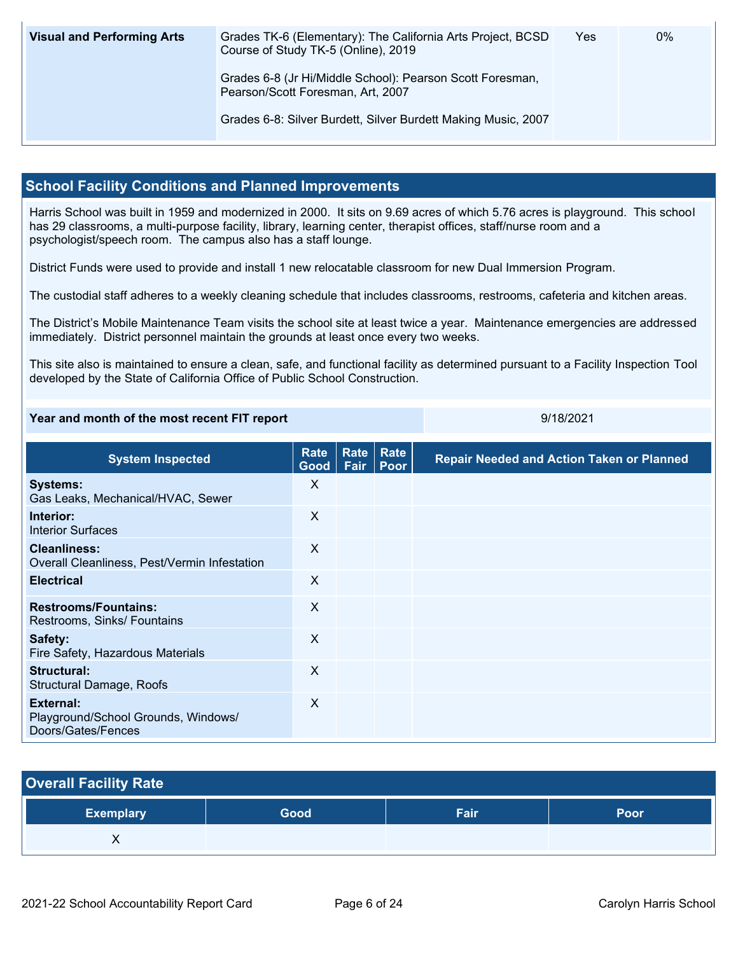| <b>Visual and Performing Arts</b> | Grades TK-6 (Elementary): The California Arts Project, BCSD<br>Course of Study TK-5 (Online), 2019 | Yes | 0% |
|-----------------------------------|----------------------------------------------------------------------------------------------------|-----|----|
|                                   | Grades 6-8 (Jr Hi/Middle School): Pearson Scott Foresman,<br>Pearson/Scott Foresman, Art, 2007     |     |    |
|                                   | Grades 6-8: Silver Burdett, Silver Burdett Making Music, 2007                                      |     |    |

## **School Facility Conditions and Planned Improvements**

Harris School was built in 1959 and modernized in 2000. It sits on 9.69 acres of which 5.76 acres is playground. This school has 29 classrooms, a multi-purpose facility, library, learning center, therapist offices, staff/nurse room and a psychologist/speech room. The campus also has a staff lounge.

District Funds were used to provide and install 1 new relocatable classroom for new Dual Immersion Program.

The custodial staff adheres to a weekly cleaning schedule that includes classrooms, restrooms, cafeteria and kitchen areas.

The District's Mobile Maintenance Team visits the school site at least twice a year. Maintenance emergencies are addressed immediately. District personnel maintain the grounds at least once every two weeks.

This site also is maintained to ensure a clean, safe, and functional facility as determined pursuant to a Facility Inspection Tool developed by the State of California Office of Public School Construction.

### **Year and month of the most recent FIT report 1998 1998 1998 9/18/2021**

**System Inspected Rate Good Rate Rate Fair Poor Repair Needed and Action Taken or Planned Systems:** Gas Leaks, Mechanical/HVAC, Sewer X **Interior:** Interior Surfaces X **Cleanliness:** Overall Cleanliness, Pest/Vermin Infestation X **Electrical** X **Restrooms/Fountains:** Restrooms, Sinks/ Fountains X **Safety:** Fire Safety, Hazardous Materials X **Structural:** Structural Damage, Roofs X **External:** Playground/School Grounds, Windows/ Doors/Gates/Fences X

| <b>Overall Facility Rate</b> |      |      |      |
|------------------------------|------|------|------|
| <b>Exemplary</b>             | Good | Fair | Poor |
|                              |      |      |      |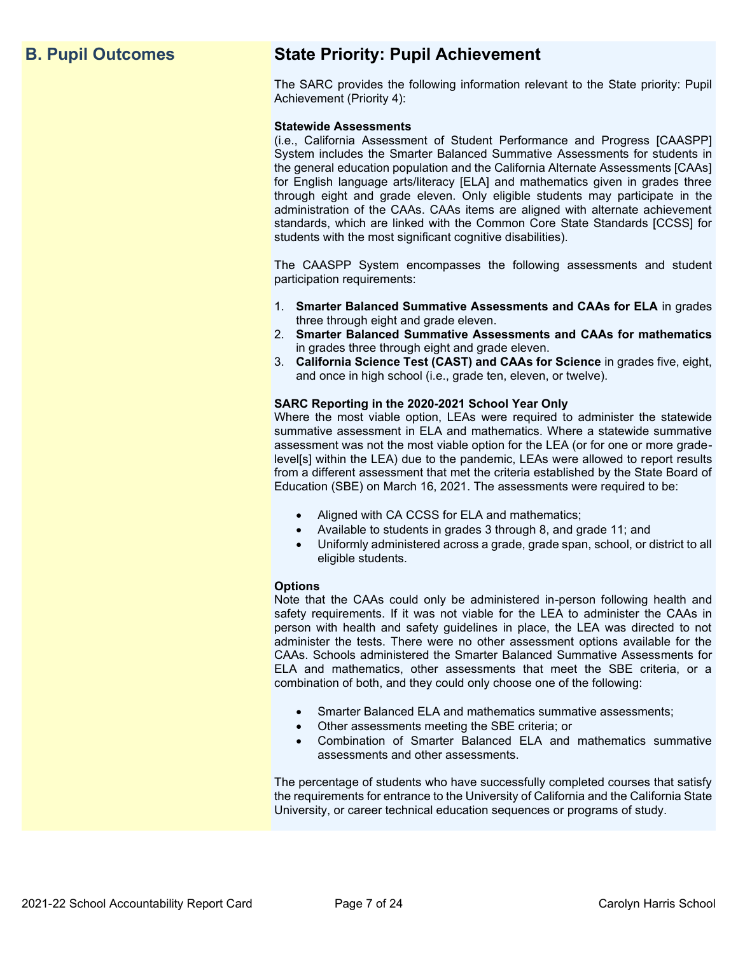## **B. Pupil Outcomes State Priority: Pupil Achievement**

The SARC provides the following information relevant to the State priority: Pupil Achievement (Priority 4):

#### **Statewide Assessments**

(i.e., California Assessment of Student Performance and Progress [CAASPP] System includes the Smarter Balanced Summative Assessments for students in the general education population and the California Alternate Assessments [CAAs] for English language arts/literacy [ELA] and mathematics given in grades three through eight and grade eleven. Only eligible students may participate in the administration of the CAAs. CAAs items are aligned with alternate achievement standards, which are linked with the Common Core State Standards [CCSS] for students with the most significant cognitive disabilities).

The CAASPP System encompasses the following assessments and student participation requirements:

- 1. **Smarter Balanced Summative Assessments and CAAs for ELA** in grades three through eight and grade eleven.
- 2. **Smarter Balanced Summative Assessments and CAAs for mathematics** in grades three through eight and grade eleven.
- 3. **California Science Test (CAST) and CAAs for Science** in grades five, eight, and once in high school (i.e., grade ten, eleven, or twelve).

#### **SARC Reporting in the 2020-2021 School Year Only**

Where the most viable option, LEAs were required to administer the statewide summative assessment in ELA and mathematics. Where a statewide summative assessment was not the most viable option for the LEA (or for one or more gradelevel[s] within the LEA) due to the pandemic, LEAs were allowed to report results from a different assessment that met the criteria established by the State Board of Education (SBE) on March 16, 2021. The assessments were required to be:

- Aligned with CA CCSS for ELA and mathematics;
- Available to students in grades 3 through 8, and grade 11; and
- Uniformly administered across a grade, grade span, school, or district to all eligible students.

#### **Options**

Note that the CAAs could only be administered in-person following health and safety requirements. If it was not viable for the LEA to administer the CAAs in person with health and safety guidelines in place, the LEA was directed to not administer the tests. There were no other assessment options available for the CAAs. Schools administered the Smarter Balanced Summative Assessments for ELA and mathematics, other assessments that meet the SBE criteria, or a combination of both, and they could only choose one of the following:

- Smarter Balanced ELA and mathematics summative assessments;
- Other assessments meeting the SBE criteria; or
- Combination of Smarter Balanced ELA and mathematics summative assessments and other assessments.

The percentage of students who have successfully completed courses that satisfy the requirements for entrance to the University of California and the California State University, or career technical education sequences or programs of study.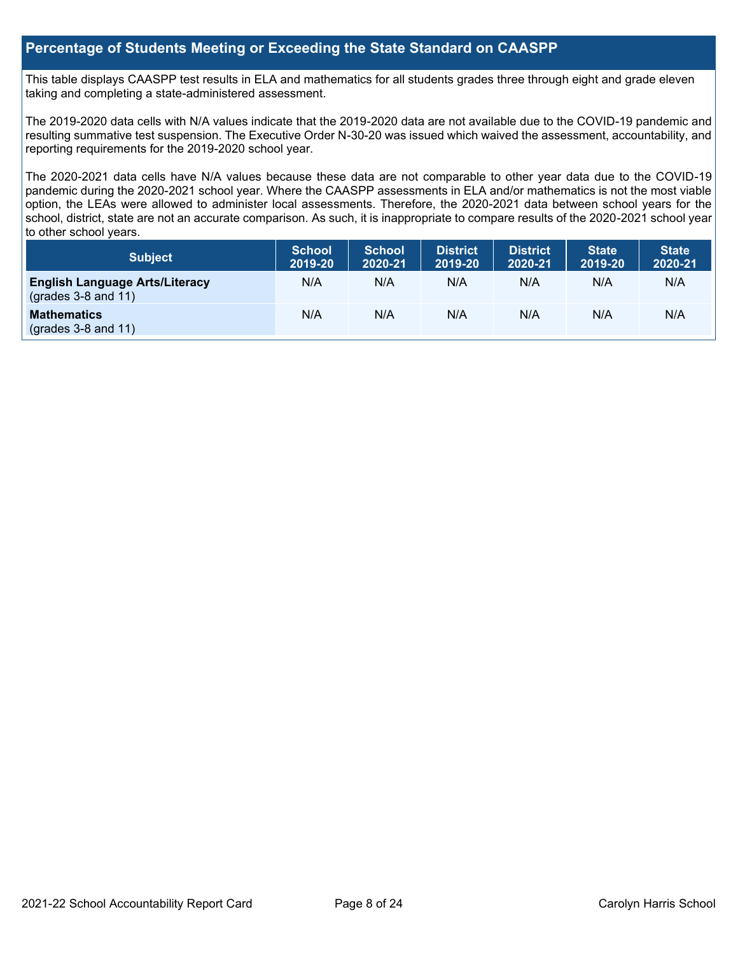## **Percentage of Students Meeting or Exceeding the State Standard on CAASPP**

This table displays CAASPP test results in ELA and mathematics for all students grades three through eight and grade eleven taking and completing a state-administered assessment.

The 2019-2020 data cells with N/A values indicate that the 2019-2020 data are not available due to the COVID-19 pandemic and resulting summative test suspension. The Executive Order N-30-20 was issued which waived the assessment, accountability, and reporting requirements for the 2019-2020 school year.

The 2020-2021 data cells have N/A values because these data are not comparable to other year data due to the COVID-19 pandemic during the 2020-2021 school year. Where the CAASPP assessments in ELA and/or mathematics is not the most viable option, the LEAs were allowed to administer local assessments. Therefore, the 2020-2021 data between school years for the school, district, state are not an accurate comparison. As such, it is inappropriate to compare results of the 2020-2021 school year to other school years.

| <b>Subject</b>                                                       | <b>School</b><br>2019-20 | <b>School</b><br>2020-21 | <b>District</b><br>2019-20 | <b>District</b><br>2020-21 | <b>State</b><br>2019-20 | <b>State</b><br>2020-21 |
|----------------------------------------------------------------------|--------------------------|--------------------------|----------------------------|----------------------------|-------------------------|-------------------------|
| <b>English Language Arts/Literacy</b><br>$\left($ grades 3-8 and 11) | N/A                      | N/A                      | N/A                        | N/A                        | N/A                     | N/A                     |
| <b>Mathematics</b><br>$($ grades 3-8 and 11 $)$                      | N/A                      | N/A                      | N/A                        | N/A                        | N/A                     | N/A                     |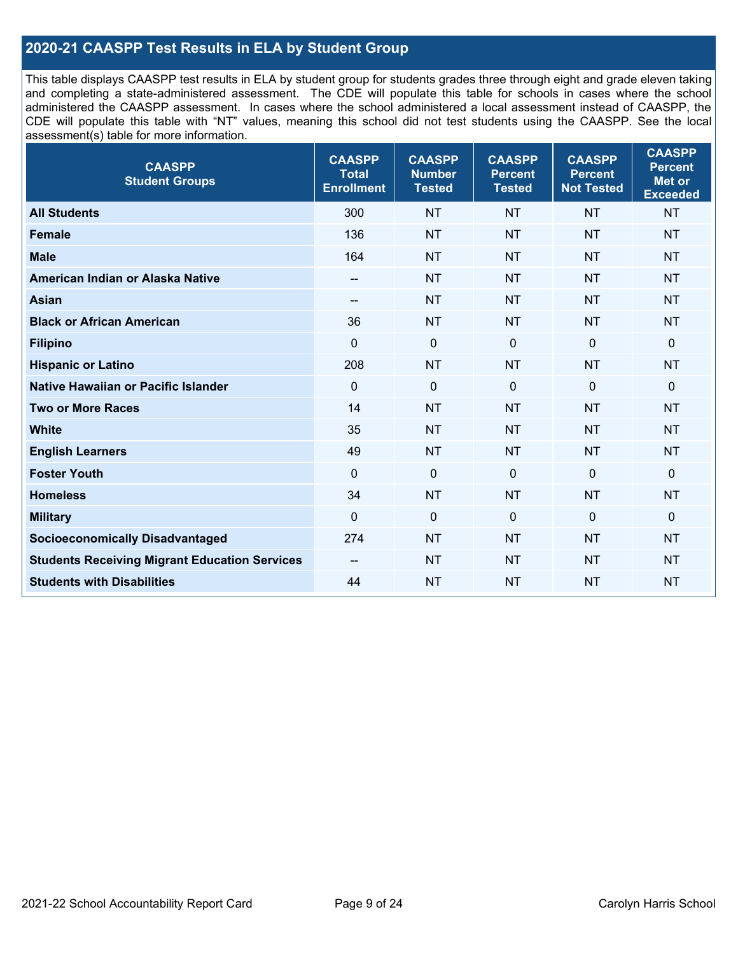## **2020-21 CAASPP Test Results in ELA by Student Group**

This table displays CAASPP test results in ELA by student group for students grades three through eight and grade eleven taking and completing a state-administered assessment. The CDE will populate this table for schools in cases where the school administered the CAASPP assessment. In cases where the school administered a local assessment instead of CAASPP, the CDE will populate this table with "NT" values, meaning this school did not test students using the CAASPP. See the local assessment(s) table for more information.

| <b>CAASPP</b><br><b>Student Groups</b>               | <b>CAASPP</b><br><b>Total</b><br><b>Enrollment</b> | <b>CAASPP</b><br><b>Number</b><br><b>Tested</b> | <b>CAASPP</b><br><b>Percent</b><br><b>Tested</b> | <b>CAASPP</b><br><b>Percent</b><br><b>Not Tested</b> | <b>CAASPP</b><br><b>Percent</b><br><b>Met or</b><br><b>Exceeded</b> |
|------------------------------------------------------|----------------------------------------------------|-------------------------------------------------|--------------------------------------------------|------------------------------------------------------|---------------------------------------------------------------------|
| <b>All Students</b>                                  | 300                                                | <b>NT</b>                                       | <b>NT</b>                                        | <b>NT</b>                                            | <b>NT</b>                                                           |
| <b>Female</b>                                        | 136                                                | <b>NT</b>                                       | <b>NT</b>                                        | <b>NT</b>                                            | <b>NT</b>                                                           |
| <b>Male</b>                                          | 164                                                | <b>NT</b>                                       | <b>NT</b>                                        | <b>NT</b>                                            | <b>NT</b>                                                           |
| American Indian or Alaska Native                     | $\overline{\phantom{a}}$                           | <b>NT</b>                                       | <b>NT</b>                                        | <b>NT</b>                                            | <b>NT</b>                                                           |
| <b>Asian</b>                                         | --                                                 | <b>NT</b>                                       | <b>NT</b>                                        | <b>NT</b>                                            | <b>NT</b>                                                           |
| <b>Black or African American</b>                     | 36                                                 | <b>NT</b>                                       | <b>NT</b>                                        | <b>NT</b>                                            | <b>NT</b>                                                           |
| <b>Filipino</b>                                      | $\mathbf 0$                                        | $\mathbf 0$                                     | $\mathbf 0$                                      | $\mathbf 0$                                          | $\mathbf 0$                                                         |
| <b>Hispanic or Latino</b>                            | 208                                                | <b>NT</b>                                       | <b>NT</b>                                        | <b>NT</b>                                            | <b>NT</b>                                                           |
| <b>Native Hawaiian or Pacific Islander</b>           | $\mathbf 0$                                        | $\mathbf 0$                                     | $\mathbf 0$                                      | $\mathbf 0$                                          | 0                                                                   |
| <b>Two or More Races</b>                             | 14                                                 | <b>NT</b>                                       | <b>NT</b>                                        | <b>NT</b>                                            | <b>NT</b>                                                           |
| <b>White</b>                                         | 35                                                 | <b>NT</b>                                       | <b>NT</b>                                        | <b>NT</b>                                            | <b>NT</b>                                                           |
| <b>English Learners</b>                              | 49                                                 | <b>NT</b>                                       | <b>NT</b>                                        | <b>NT</b>                                            | <b>NT</b>                                                           |
| <b>Foster Youth</b>                                  | $\Omega$                                           | $\mathbf 0$                                     | $\mathbf{0}$                                     | $\mathbf 0$                                          | $\mathbf 0$                                                         |
| <b>Homeless</b>                                      | 34                                                 | <b>NT</b>                                       | <b>NT</b>                                        | <b>NT</b>                                            | <b>NT</b>                                                           |
| <b>Military</b>                                      | $\mathbf 0$                                        | $\pmb{0}$                                       | 0                                                | $\mathbf 0$                                          | 0                                                                   |
| <b>Socioeconomically Disadvantaged</b>               | 274                                                | <b>NT</b>                                       | <b>NT</b>                                        | <b>NT</b>                                            | <b>NT</b>                                                           |
| <b>Students Receiving Migrant Education Services</b> | $-$                                                | <b>NT</b>                                       | <b>NT</b>                                        | <b>NT</b>                                            | NT                                                                  |
| <b>Students with Disabilities</b>                    | 44                                                 | <b>NT</b>                                       | <b>NT</b>                                        | <b>NT</b>                                            | <b>NT</b>                                                           |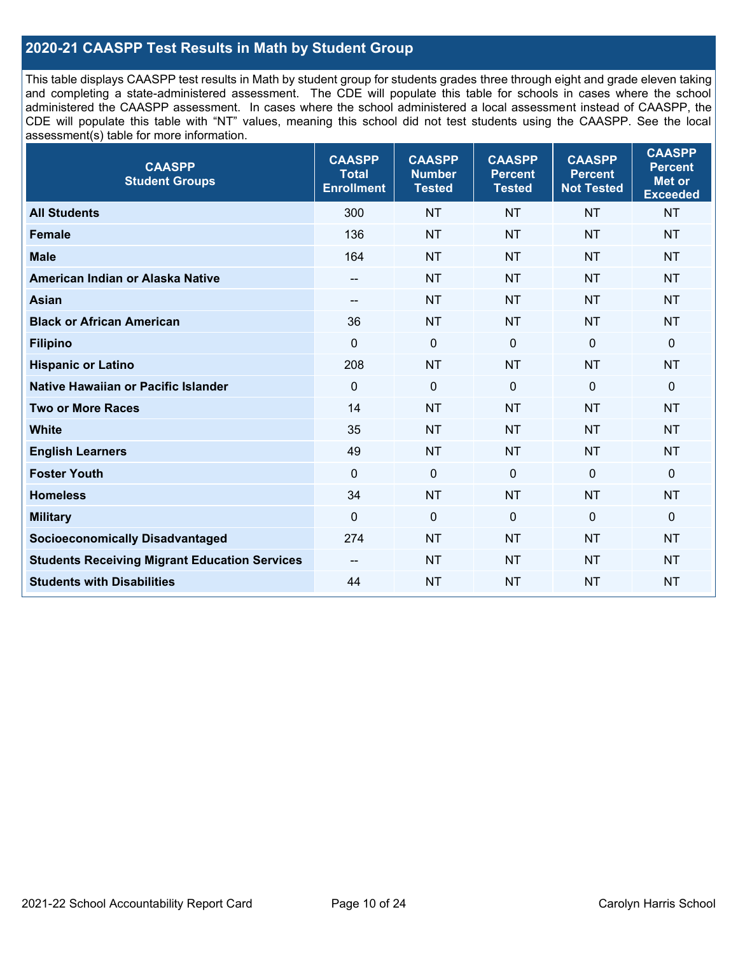## **2020-21 CAASPP Test Results in Math by Student Group**

This table displays CAASPP test results in Math by student group for students grades three through eight and grade eleven taking and completing a state-administered assessment. The CDE will populate this table for schools in cases where the school administered the CAASPP assessment. In cases where the school administered a local assessment instead of CAASPP, the CDE will populate this table with "NT" values, meaning this school did not test students using the CAASPP. See the local assessment(s) table for more information.

| <b>CAASPP</b><br><b>Student Groups</b>               | <b>CAASPP</b><br><b>Total</b><br><b>Enrollment</b> | <b>CAASPP</b><br><b>Number</b><br><b>Tested</b> | <b>CAASPP</b><br><b>Percent</b><br><b>Tested</b> | <b>CAASPP</b><br><b>Percent</b><br><b>Not Tested</b> | <b>CAASPP</b><br><b>Percent</b><br>Met or<br><b>Exceeded</b> |
|------------------------------------------------------|----------------------------------------------------|-------------------------------------------------|--------------------------------------------------|------------------------------------------------------|--------------------------------------------------------------|
| <b>All Students</b>                                  | 300                                                | <b>NT</b>                                       | <b>NT</b>                                        | <b>NT</b>                                            | <b>NT</b>                                                    |
| <b>Female</b>                                        | 136                                                | <b>NT</b>                                       | <b>NT</b>                                        | <b>NT</b>                                            | <b>NT</b>                                                    |
| <b>Male</b>                                          | 164                                                | <b>NT</b>                                       | <b>NT</b>                                        | <b>NT</b>                                            | <b>NT</b>                                                    |
| American Indian or Alaska Native                     | $\overline{\phantom{a}}$                           | <b>NT</b>                                       | <b>NT</b>                                        | <b>NT</b>                                            | <b>NT</b>                                                    |
| <b>Asian</b>                                         | $-$                                                | <b>NT</b>                                       | <b>NT</b>                                        | <b>NT</b>                                            | <b>NT</b>                                                    |
| <b>Black or African American</b>                     | 36                                                 | <b>NT</b>                                       | <b>NT</b>                                        | <b>NT</b>                                            | <b>NT</b>                                                    |
| <b>Filipino</b>                                      | $\mathbf 0$                                        | $\mathbf 0$                                     | $\Omega$                                         | $\mathbf 0$                                          | $\mathbf 0$                                                  |
| <b>Hispanic or Latino</b>                            | 208                                                | <b>NT</b>                                       | <b>NT</b>                                        | <b>NT</b>                                            | <b>NT</b>                                                    |
| Native Hawaiian or Pacific Islander                  | $\mathbf 0$                                        | $\mathbf 0$                                     | $\mathbf{0}$                                     | $\overline{0}$                                       | $\mathbf 0$                                                  |
| <b>Two or More Races</b>                             | 14                                                 | <b>NT</b>                                       | <b>NT</b>                                        | <b>NT</b>                                            | <b>NT</b>                                                    |
| <b>White</b>                                         | 35                                                 | <b>NT</b>                                       | <b>NT</b>                                        | <b>NT</b>                                            | <b>NT</b>                                                    |
| <b>English Learners</b>                              | 49                                                 | <b>NT</b>                                       | <b>NT</b>                                        | <b>NT</b>                                            | <b>NT</b>                                                    |
| <b>Foster Youth</b>                                  | $\Omega$                                           | $\mathbf 0$                                     | $\mathbf{0}$                                     | $\mathbf 0$                                          | $\mathbf 0$                                                  |
| <b>Homeless</b>                                      | 34                                                 | <b>NT</b>                                       | <b>NT</b>                                        | <b>NT</b>                                            | <b>NT</b>                                                    |
| <b>Military</b>                                      | $\mathbf 0$                                        | $\pmb{0}$                                       | 0                                                | $\mathbf 0$                                          | 0                                                            |
| <b>Socioeconomically Disadvantaged</b>               | 274                                                | <b>NT</b>                                       | <b>NT</b>                                        | <b>NT</b>                                            | <b>NT</b>                                                    |
| <b>Students Receiving Migrant Education Services</b> | $-$                                                | <b>NT</b>                                       | <b>NT</b>                                        | <b>NT</b>                                            | NT                                                           |
| <b>Students with Disabilities</b>                    | 44                                                 | <b>NT</b>                                       | <b>NT</b>                                        | <b>NT</b>                                            | <b>NT</b>                                                    |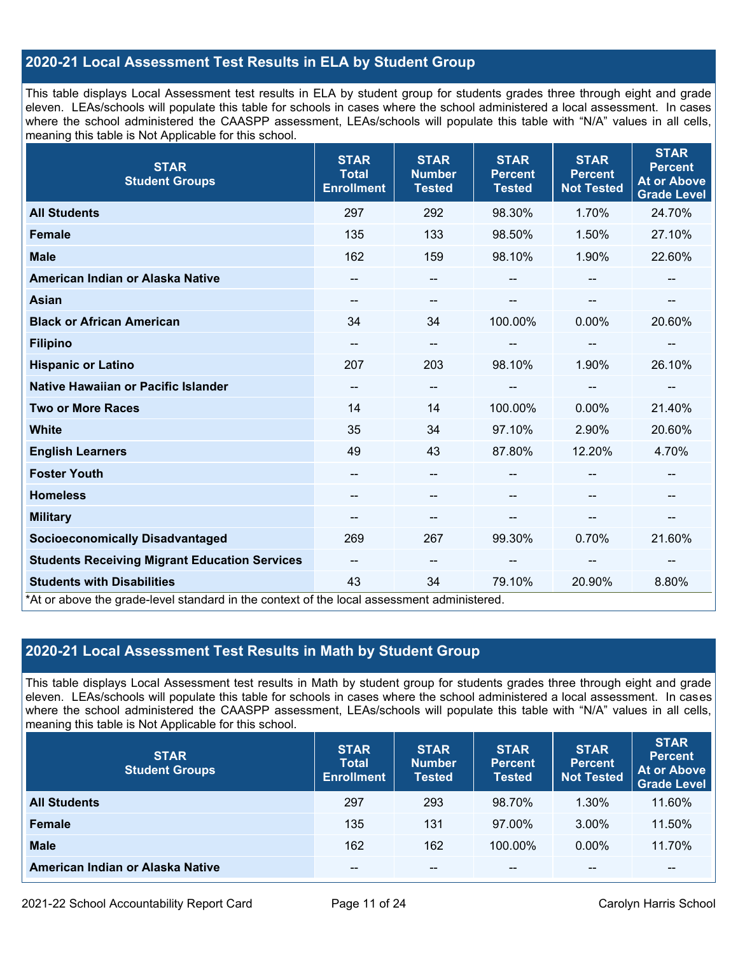## **2020-21 Local Assessment Test Results in ELA by Student Group**

This table displays Local Assessment test results in ELA by student group for students grades three through eight and grade eleven. LEAs/schools will populate this table for schools in cases where the school administered a local assessment. In cases where the school administered the CAASPP assessment, LEAs/schools will populate this table with "N/A" values in all cells, meaning this table is Not Applicable for this school.

| <b>STAR</b><br><b>Student Groups</b>                                                                                            | <b>STAR</b><br><b>Total</b><br><b>Enrollment</b> | <b>STAR</b><br><b>Number</b><br><b>Tested</b> | <b>STAR</b><br><b>Percent</b><br><b>Tested</b> | <b>STAR</b><br><b>Percent</b><br><b>Not Tested</b> | <b>STAR</b><br><b>Percent</b><br><b>At or Above</b><br><b>Grade Level</b> |
|---------------------------------------------------------------------------------------------------------------------------------|--------------------------------------------------|-----------------------------------------------|------------------------------------------------|----------------------------------------------------|---------------------------------------------------------------------------|
| <b>All Students</b>                                                                                                             | 297                                              | 292                                           | 98.30%                                         | 1.70%                                              | 24.70%                                                                    |
| <b>Female</b>                                                                                                                   | 135                                              | 133                                           | 98.50%                                         | 1.50%                                              | 27.10%                                                                    |
| <b>Male</b>                                                                                                                     | 162                                              | 159                                           | 98.10%                                         | 1.90%                                              | 22.60%                                                                    |
| American Indian or Alaska Native                                                                                                | $\qquad \qquad -$                                | --                                            | --                                             |                                                    | --                                                                        |
| <b>Asian</b>                                                                                                                    | --                                               | --                                            |                                                | --                                                 |                                                                           |
| <b>Black or African American</b>                                                                                                | 34                                               | 34                                            | 100.00%                                        | 0.00%                                              | 20.60%                                                                    |
| <b>Filipino</b>                                                                                                                 | --                                               | --                                            | --                                             | --                                                 | $\overline{\phantom{a}}$                                                  |
| <b>Hispanic or Latino</b>                                                                                                       | 207                                              | 203                                           | 98.10%                                         | 1.90%                                              | 26.10%                                                                    |
| Native Hawaiian or Pacific Islander                                                                                             | --                                               | --                                            |                                                |                                                    |                                                                           |
| <b>Two or More Races</b>                                                                                                        | 14                                               | 14                                            | 100.00%                                        | 0.00%                                              | 21.40%                                                                    |
| <b>White</b>                                                                                                                    | 35                                               | 34                                            | 97.10%                                         | 2.90%                                              | 20.60%                                                                    |
| <b>English Learners</b>                                                                                                         | 49                                               | 43                                            | 87.80%                                         | 12.20%                                             | 4.70%                                                                     |
| <b>Foster Youth</b>                                                                                                             | $\overline{a}$                                   | $\qquad \qquad -$                             |                                                |                                                    | $\sim$                                                                    |
| <b>Homeless</b>                                                                                                                 |                                                  | --                                            |                                                |                                                    |                                                                           |
| <b>Military</b>                                                                                                                 | $\qquad \qquad -$                                | --                                            | --                                             | --                                                 | $\overline{\phantom{a}}$                                                  |
| <b>Socioeconomically Disadvantaged</b>                                                                                          | 269                                              | 267                                           | 99.30%                                         | 0.70%                                              | 21.60%                                                                    |
| <b>Students Receiving Migrant Education Services</b>                                                                            | $\overline{\phantom{a}}$                         | $\qquad \qquad -$                             | --                                             | --                                                 |                                                                           |
| <b>Students with Disabilities</b><br>*At or above the grade-level standard in the context of the local assessment administered. | 43                                               | 34                                            | 79.10%                                         | 20.90%                                             | 8.80%                                                                     |

## **2020-21 Local Assessment Test Results in Math by Student Group**

This table displays Local Assessment test results in Math by student group for students grades three through eight and grade eleven. LEAs/schools will populate this table for schools in cases where the school administered a local assessment. In cases where the school administered the CAASPP assessment, LEAs/schools will populate this table with "N/A" values in all cells, meaning this table is Not Applicable for this school.

| <b>STAR</b><br><b>Student Groups</b> | <b>STAR</b><br><b>Total</b><br><b>Enrollment</b> | <b>STAR</b><br><b>Number</b><br><b>Tested</b> | <b>STAR</b><br><b>Percent</b><br><b>Tested</b> | <b>STAR</b><br><b>Percent</b><br><b>Not Tested</b> | <b>STAR</b><br><b>Percent</b><br><b>At or Above</b><br><b>Grade Level</b> |
|--------------------------------------|--------------------------------------------------|-----------------------------------------------|------------------------------------------------|----------------------------------------------------|---------------------------------------------------------------------------|
| <b>All Students</b>                  | 297                                              | 293                                           | 98.70%                                         | 1.30%                                              | 11.60%                                                                    |
| <b>Female</b>                        | 135                                              | 131                                           | 97.00%                                         | 3.00%                                              | 11.50%                                                                    |
| <b>Male</b>                          | 162                                              | 162                                           | 100.00%                                        | $0.00\%$                                           | 11.70%                                                                    |
| American Indian or Alaska Native     | --                                               | $- -$                                         | $- -$                                          | $\sim$ $\sim$                                      | $\overline{\phantom{m}}$                                                  |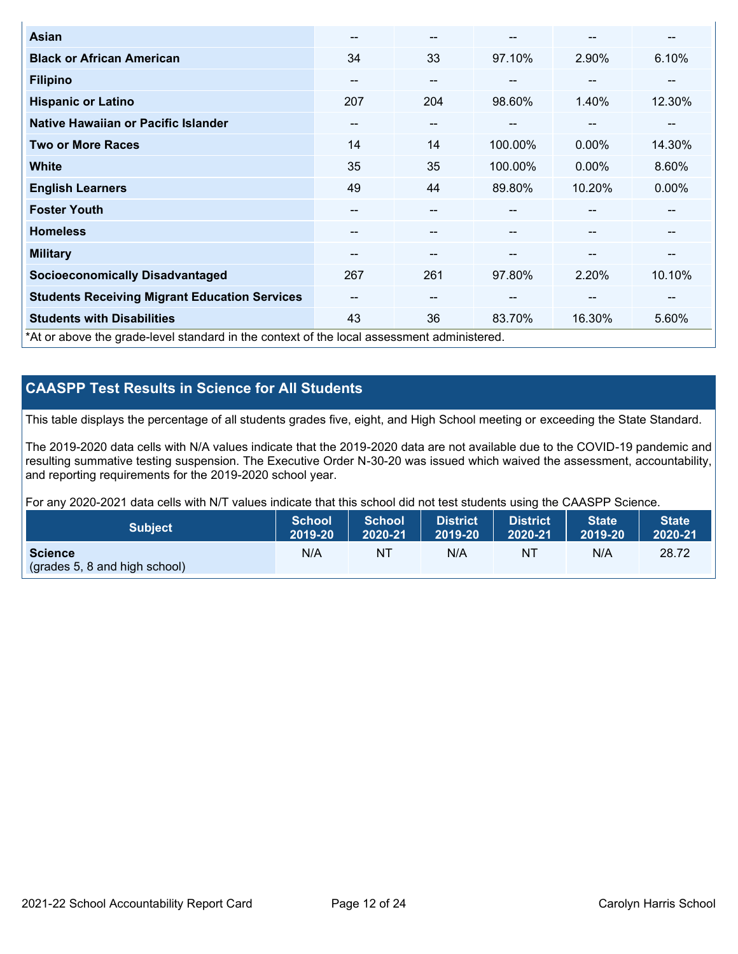| <b>Asian</b>                                                                               | --                       | $- -$ |         | --                       | --       |
|--------------------------------------------------------------------------------------------|--------------------------|-------|---------|--------------------------|----------|
| <b>Black or African American</b>                                                           | 34                       | 33    | 97.10%  | 2.90%                    | 6.10%    |
| <b>Filipino</b>                                                                            | --                       | $- -$ |         | --                       | --       |
| <b>Hispanic or Latino</b>                                                                  | 207                      | 204   | 98.60%  | 1.40%                    | 12.30%   |
| Native Hawaiian or Pacific Islander                                                        | $\overline{\phantom{m}}$ | $- -$ | $- -$   | $\overline{\phantom{m}}$ | --       |
| <b>Two or More Races</b>                                                                   | 14                       | 14    | 100.00% | $0.00\%$                 | 14.30%   |
| <b>White</b>                                                                               | 35                       | 35    | 100.00% | $0.00\%$                 | 8.60%    |
| <b>English Learners</b>                                                                    | 49                       | 44    | 89.80%  | 10.20%                   | $0.00\%$ |
| <b>Foster Youth</b>                                                                        | --                       | --    |         | --                       | --       |
| <b>Homeless</b>                                                                            | --                       | --    |         | --                       | --       |
| <b>Military</b>                                                                            | --                       | --    | --      | --                       | --       |
| <b>Socioeconomically Disadvantaged</b>                                                     | 267                      | 261   | 97.80%  | 2.20%                    | 10.10%   |
| <b>Students Receiving Migrant Education Services</b>                                       | --                       | $-$   | --      | --                       | --       |
| <b>Students with Disabilities</b>                                                          | 43                       | 36    | 83.70%  | 16.30%                   | 5.60%    |
| *At or above the grade-level standard in the context of the local assessment administered. |                          |       |         |                          |          |

## **CAASPP Test Results in Science for All Students**

This table displays the percentage of all students grades five, eight, and High School meeting or exceeding the State Standard.

The 2019-2020 data cells with N/A values indicate that the 2019-2020 data are not available due to the COVID-19 pandemic and resulting summative testing suspension. The Executive Order N-30-20 was issued which waived the assessment, accountability, and reporting requirements for the 2019-2020 school year.

For any 2020-2021 data cells with N/T values indicate that this school did not test students using the CAASPP Science.

| <b>Subject</b>                                           | <b>School</b> | <b>School</b> | <b>District</b> | District | <b>State</b> | <b>State</b> |
|----------------------------------------------------------|---------------|---------------|-----------------|----------|--------------|--------------|
|                                                          | 2019-20       | 2020-21       | 2019-20         | 2020-21  | 2019-20      | 2020-21      |
| <b>Science</b><br>$\left($ (grades 5, 8 and high school) | N/A           | NT            | N/A             | NT       | N/A          | 28.72        |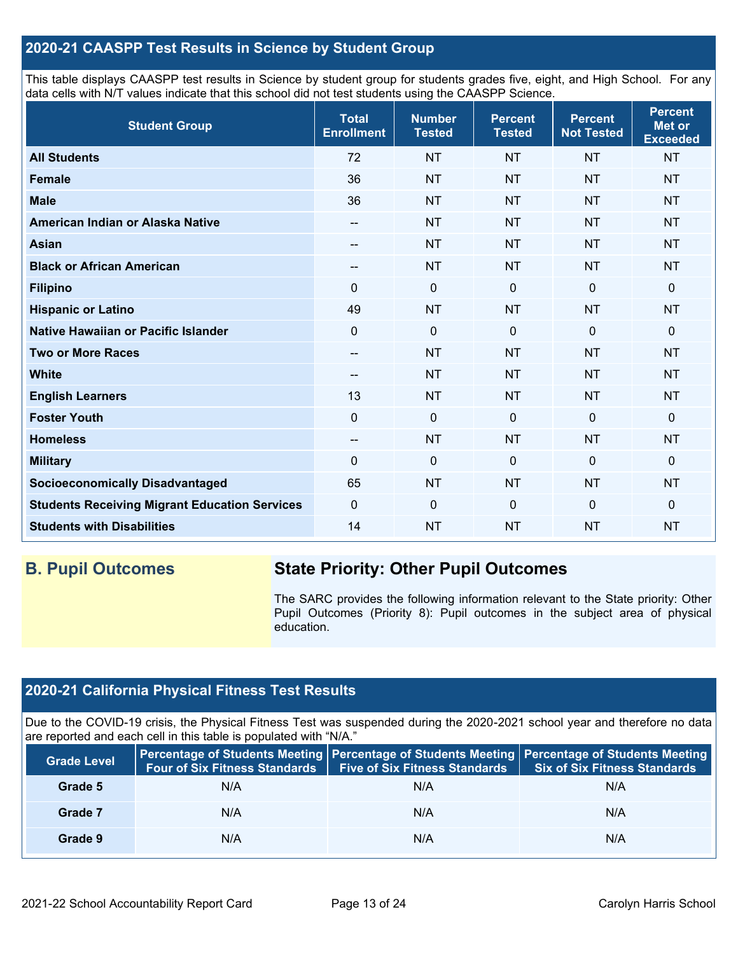## **2020-21 CAASPP Test Results in Science by Student Group**

This table displays CAASPP test results in Science by student group for students grades five, eight, and High School. For any data cells with N/T values indicate that this school did not test students using the CAASPP Science.

| <b>Student Group</b>                                 | <b>Total</b><br><b>Enrollment</b> | <b>Number</b><br><b>Tested</b> | <b>Percent</b><br><b>Tested</b> | <b>Percent</b><br><b>Not Tested</b> | <b>Percent</b><br><b>Met or</b><br><b>Exceeded</b> |
|------------------------------------------------------|-----------------------------------|--------------------------------|---------------------------------|-------------------------------------|----------------------------------------------------|
| <b>All Students</b>                                  | 72                                | <b>NT</b>                      | <b>NT</b>                       | <b>NT</b>                           | <b>NT</b>                                          |
| <b>Female</b>                                        | 36                                | <b>NT</b>                      | <b>NT</b>                       | <b>NT</b>                           | <b>NT</b>                                          |
| <b>Male</b>                                          | 36                                | <b>NT</b>                      | <b>NT</b>                       | <b>NT</b>                           | <b>NT</b>                                          |
| American Indian or Alaska Native                     | $\qquad \qquad -$                 | <b>NT</b>                      | <b>NT</b>                       | <b>NT</b>                           | <b>NT</b>                                          |
| <b>Asian</b>                                         | --                                | <b>NT</b>                      | <b>NT</b>                       | <b>NT</b>                           | <b>NT</b>                                          |
| <b>Black or African American</b>                     | --                                | <b>NT</b>                      | <b>NT</b>                       | <b>NT</b>                           | <b>NT</b>                                          |
| <b>Filipino</b>                                      | $\Omega$                          | $\pmb{0}$                      | $\mathbf 0$                     | 0                                   | 0                                                  |
| <b>Hispanic or Latino</b>                            | 49                                | <b>NT</b>                      | <b>NT</b>                       | <b>NT</b>                           | <b>NT</b>                                          |
| Native Hawaiian or Pacific Islander                  | $\mathbf 0$                       | $\mathbf 0$                    | $\mathbf 0$                     | $\overline{0}$                      | 0                                                  |
| <b>Two or More Races</b>                             | --                                | <b>NT</b>                      | <b>NT</b>                       | <b>NT</b>                           | <b>NT</b>                                          |
| <b>White</b>                                         | --                                | <b>NT</b>                      | <b>NT</b>                       | <b>NT</b>                           | <b>NT</b>                                          |
| <b>English Learners</b>                              | 13                                | <b>NT</b>                      | <b>NT</b>                       | <b>NT</b>                           | <b>NT</b>                                          |
| <b>Foster Youth</b>                                  | $\mathbf 0$                       | $\mathbf 0$                    | $\mathbf 0$                     | $\mathbf 0$                         | 0                                                  |
| <b>Homeless</b>                                      | --                                | <b>NT</b>                      | <b>NT</b>                       | <b>NT</b>                           | <b>NT</b>                                          |
| <b>Military</b>                                      | $\Omega$                          | $\pmb{0}$                      | 0                               | $\Omega$                            | 0                                                  |
| <b>Socioeconomically Disadvantaged</b>               | 65                                | <b>NT</b>                      | <b>NT</b>                       | <b>NT</b>                           | <b>NT</b>                                          |
| <b>Students Receiving Migrant Education Services</b> | $\mathbf 0$                       | $\mathbf 0$                    | $\mathbf 0$                     | $\overline{0}$                      | 0                                                  |
| <b>Students with Disabilities</b>                    | 14                                | <b>NT</b>                      | <b>NT</b>                       | <b>NT</b>                           | <b>NT</b>                                          |

## **B. Pupil Outcomes State Priority: Other Pupil Outcomes**

The SARC provides the following information relevant to the State priority: Other Pupil Outcomes (Priority 8): Pupil outcomes in the subject area of physical education.

## **2020-21 California Physical Fitness Test Results**

Due to the COVID-19 crisis, the Physical Fitness Test was suspended during the 2020-2021 school year and therefore no data are reported and each cell in this table is populated with "N/A."

| <b>Grade Level</b> | Four of Six Fitness Standards | <b>Five of Six Fitness Standards</b> | Percentage of Students Meeting   Percentage of Students Meeting   Percentage of Students Meeting<br><b>Six of Six Fitness Standards</b> |
|--------------------|-------------------------------|--------------------------------------|-----------------------------------------------------------------------------------------------------------------------------------------|
| Grade 5            | N/A                           | N/A                                  | N/A                                                                                                                                     |
| Grade 7            | N/A                           | N/A                                  | N/A                                                                                                                                     |
| Grade 9            | N/A                           | N/A                                  | N/A                                                                                                                                     |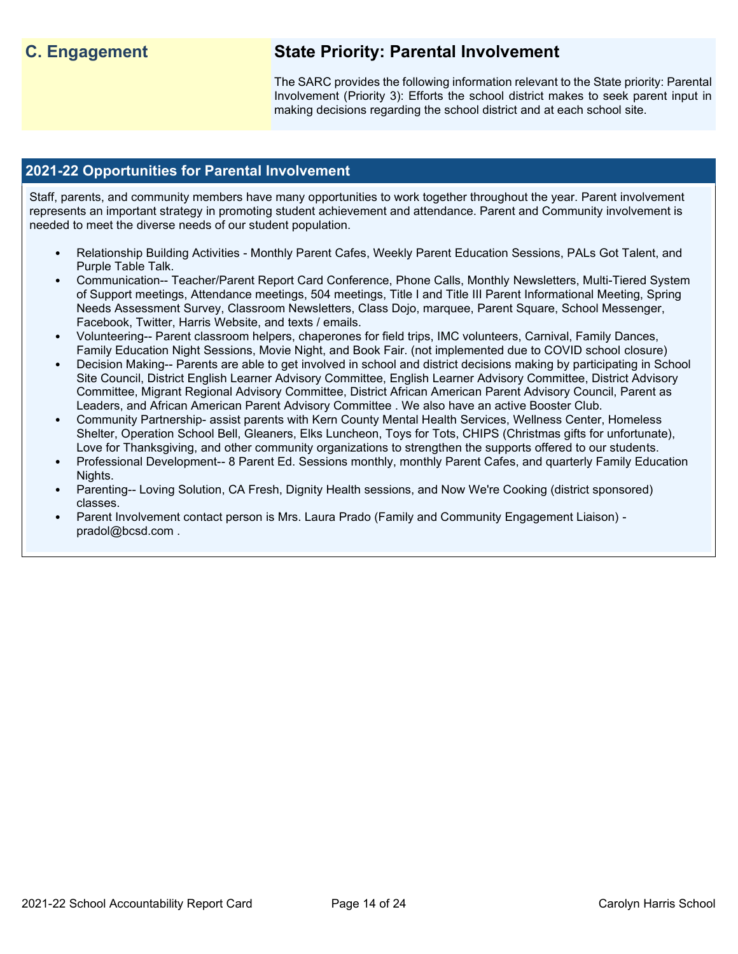## **C. Engagement State Priority: Parental Involvement**

The SARC provides the following information relevant to the State priority: Parental Involvement (Priority 3): Efforts the school district makes to seek parent input in making decisions regarding the school district and at each school site.

## **2021-22 Opportunities for Parental Involvement**

Staff, parents, and community members have many opportunities to work together throughout the year. Parent involvement represents an important strategy in promoting student achievement and attendance. Parent and Community involvement is needed to meet the diverse needs of our student population.

- Relationship Building Activities Monthly Parent Cafes, Weekly Parent Education Sessions, PALs Got Talent, and Purple Table Talk.
- Communication-- Teacher/Parent Report Card Conference, Phone Calls, Monthly Newsletters, Multi-Tiered System of Support meetings, Attendance meetings, 504 meetings, Title I and Title III Parent Informational Meeting, Spring Needs Assessment Survey, Classroom Newsletters, Class Dojo, marquee, Parent Square, School Messenger, Facebook, Twitter, Harris Website, and texts / emails.
- Volunteering-- Parent classroom helpers, chaperones for field trips, IMC volunteers, Carnival, Family Dances, Family Education Night Sessions, Movie Night, and Book Fair. (not implemented due to COVID school closure)
- Decision Making-- Parents are able to get involved in school and district decisions making by participating in School Site Council, District English Learner Advisory Committee, English Learner Advisory Committee, District Advisory Committee, Migrant Regional Advisory Committee, District African American Parent Advisory Council, Parent as Leaders, and African American Parent Advisory Committee . We also have an active Booster Club.
- Community Partnership- assist parents with Kern County Mental Health Services, Wellness Center, Homeless Shelter, Operation School Bell, Gleaners, Elks Luncheon, Toys for Tots, CHIPS (Christmas gifts for unfortunate), Love for Thanksgiving, and other community organizations to strengthen the supports offered to our students.
- Professional Development-- 8 Parent Ed. Sessions monthly, monthly Parent Cafes, and quarterly Family Education Nights.
- Parenting-- Loving Solution, CA Fresh, Dignity Health sessions, and Now We're Cooking (district sponsored) classes.
- Parent Involvement contact person is Mrs. Laura Prado (Family and Community Engagement Liaison) pradol@bcsd.com .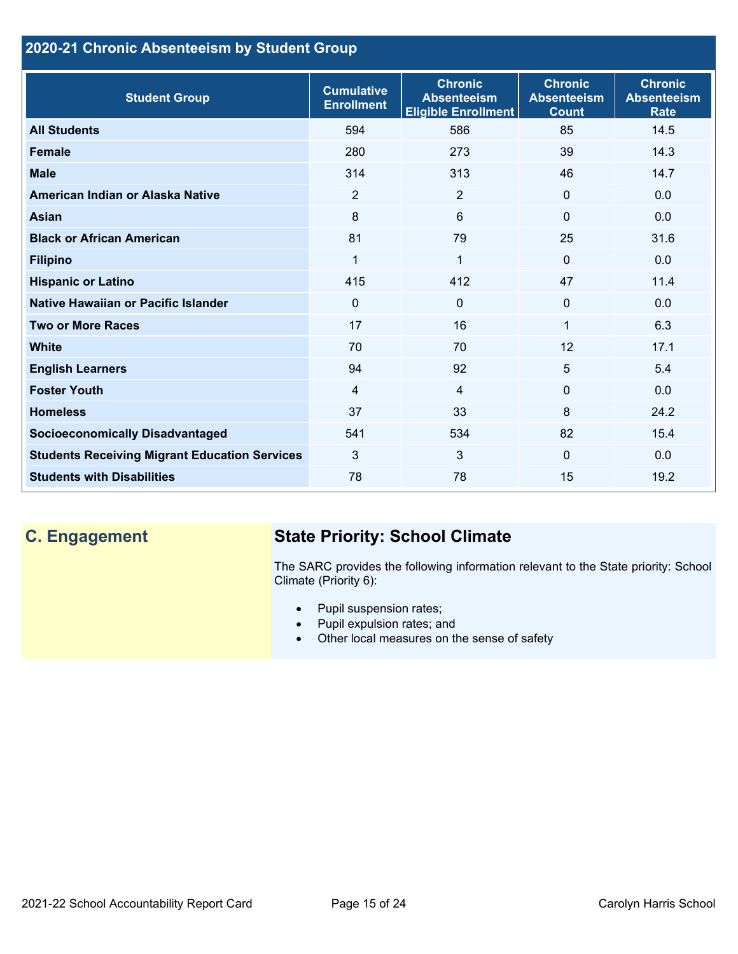## **2020-21 Chronic Absenteeism by Student Group**

| <b>Student Group</b>                                 | <b>Cumulative</b><br><b>Enrollment</b> | <b>Chronic</b><br><b>Absenteeism</b><br><b>Eligible Enrollment</b> | <b>Chronic</b><br><b>Absenteeism</b><br><b>Count</b> | <b>Chronic</b><br><b>Absenteeism</b><br><b>Rate</b> |
|------------------------------------------------------|----------------------------------------|--------------------------------------------------------------------|------------------------------------------------------|-----------------------------------------------------|
| <b>All Students</b>                                  | 594                                    | 586                                                                | 85                                                   | 14.5                                                |
| <b>Female</b>                                        | 280                                    | 273                                                                | 39                                                   | 14.3                                                |
| <b>Male</b>                                          | 314                                    | 313                                                                | 46                                                   | 14.7                                                |
| American Indian or Alaska Native                     | 2                                      | 2                                                                  | $\mathbf{0}$                                         | 0.0                                                 |
| <b>Asian</b>                                         | 8                                      | 6                                                                  | $\mathbf{0}$                                         | 0.0                                                 |
| <b>Black or African American</b>                     | 81                                     | 79                                                                 | 25                                                   | 31.6                                                |
| <b>Filipino</b>                                      | $\mathbf{1}$                           | $\mathbf{1}$                                                       | $\mathbf{0}$                                         | 0.0                                                 |
| <b>Hispanic or Latino</b>                            | 415                                    | 412                                                                | 47                                                   | 11.4                                                |
| Native Hawaiian or Pacific Islander                  | 0                                      | $\mathbf 0$                                                        | $\mathbf 0$                                          | 0.0                                                 |
| <b>Two or More Races</b>                             | 17                                     | 16                                                                 | 1                                                    | 6.3                                                 |
| <b>White</b>                                         | 70                                     | 70                                                                 | 12                                                   | 17.1                                                |
| <b>English Learners</b>                              | 94                                     | 92                                                                 | 5                                                    | 5.4                                                 |
| <b>Foster Youth</b>                                  | $\overline{4}$                         | $\overline{4}$                                                     | $\Omega$                                             | 0.0                                                 |
| <b>Homeless</b>                                      | 37                                     | 33                                                                 | 8                                                    | 24.2                                                |
| <b>Socioeconomically Disadvantaged</b>               | 541                                    | 534                                                                | 82                                                   | 15.4                                                |
| <b>Students Receiving Migrant Education Services</b> | 3                                      | 3                                                                  | $\Omega$                                             | 0.0                                                 |
| <b>Students with Disabilities</b>                    | 78                                     | 78                                                                 | 15                                                   | 19.2                                                |

# **C. Engagement State Priority: School Climate**

The SARC provides the following information relevant to the State priority: School Climate (Priority 6):

- Pupil suspension rates;
- Pupil expulsion rates; and
- Other local measures on the sense of safety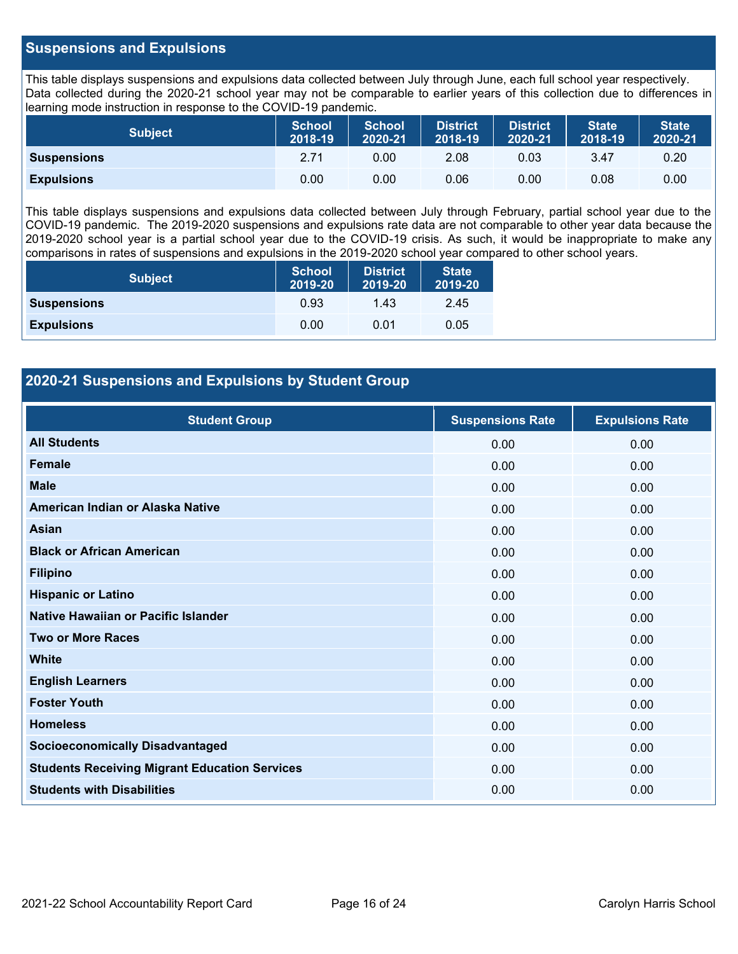## **Suspensions and Expulsions**

This table displays suspensions and expulsions data collected between July through June, each full school year respectively. Data collected during the 2020-21 school year may not be comparable to earlier years of this collection due to differences in learning mode instruction in response to the COVID-19 pandemic.

| <b>Subject</b>     | <b>School</b><br>2018-19 | <b>School</b><br>2020-21 | <b>District</b><br>2018-19 | <b>District</b><br>2020-21 | <b>State</b><br>2018-19 | <b>State</b><br>2020-21 |
|--------------------|--------------------------|--------------------------|----------------------------|----------------------------|-------------------------|-------------------------|
| <b>Suspensions</b> | 2.71                     | 0.00                     | 2.08                       | 0.03                       | 3.47                    | 0.20                    |
| <b>Expulsions</b>  | 0.00                     | 0.00                     | 0.06                       | 0.00                       | 0.08                    | 0.00                    |

This table displays suspensions and expulsions data collected between July through February, partial school year due to the COVID-19 pandemic. The 2019-2020 suspensions and expulsions rate data are not comparable to other year data because the 2019-2020 school year is a partial school year due to the COVID-19 crisis. As such, it would be inappropriate to make any comparisons in rates of suspensions and expulsions in the 2019-2020 school year compared to other school years.

| <b>Subject</b>     | <b>School</b><br>2019-20 | <b>District</b><br>2019-20 | <b>State</b><br>2019-20 |
|--------------------|--------------------------|----------------------------|-------------------------|
| <b>Suspensions</b> | 0.93                     | 1.43                       | 2.45                    |
| <b>Expulsions</b>  | 0.00                     | 0.01                       | 0.05                    |

## **2020-21 Suspensions and Expulsions by Student Group**

| <b>Student Group</b>                                 | <b>Suspensions Rate</b> | <b>Expulsions Rate</b> |
|------------------------------------------------------|-------------------------|------------------------|
| <b>All Students</b>                                  | 0.00                    | 0.00                   |
| <b>Female</b>                                        | 0.00                    | 0.00                   |
| <b>Male</b>                                          | 0.00                    | 0.00                   |
| American Indian or Alaska Native                     | 0.00                    | 0.00                   |
| Asian                                                | 0.00                    | 0.00                   |
| <b>Black or African American</b>                     | 0.00                    | 0.00                   |
| <b>Filipino</b>                                      | 0.00                    | 0.00                   |
| <b>Hispanic or Latino</b>                            | 0.00                    | 0.00                   |
| Native Hawaiian or Pacific Islander                  | 0.00                    | 0.00                   |
| <b>Two or More Races</b>                             | 0.00                    | 0.00                   |
| <b>White</b>                                         | 0.00                    | 0.00                   |
| <b>English Learners</b>                              | 0.00                    | 0.00                   |
| <b>Foster Youth</b>                                  | 0.00                    | 0.00                   |
| <b>Homeless</b>                                      | 0.00                    | 0.00                   |
| <b>Socioeconomically Disadvantaged</b>               | 0.00                    | 0.00                   |
| <b>Students Receiving Migrant Education Services</b> | 0.00                    | 0.00                   |
| <b>Students with Disabilities</b>                    | 0.00                    | 0.00                   |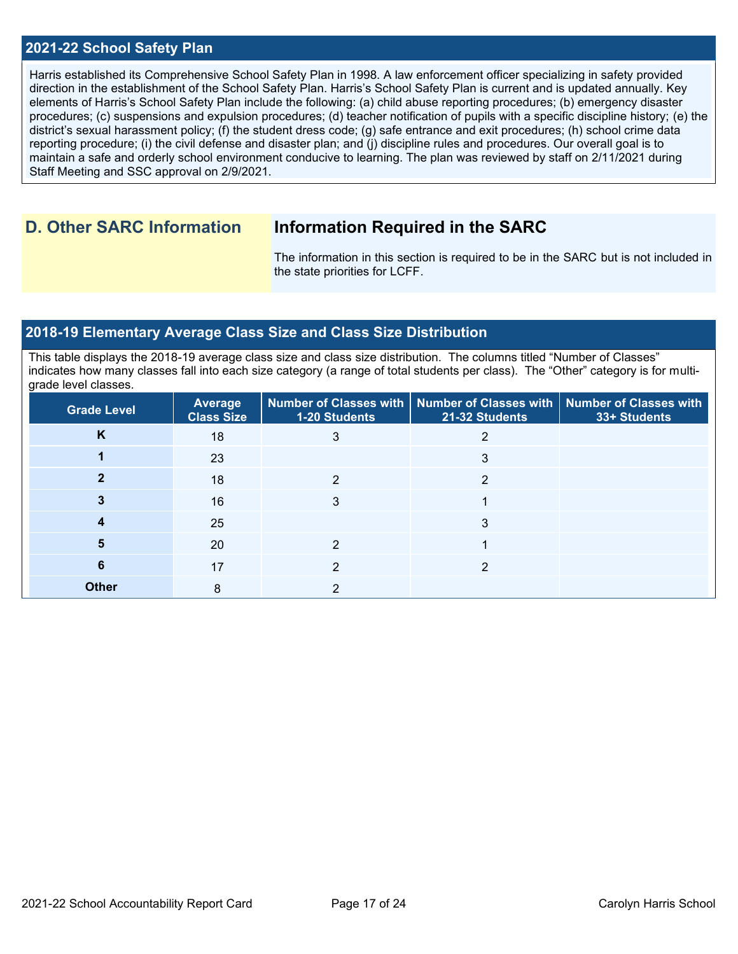## **2021-22 School Safety Plan**

Harris established its Comprehensive School Safety Plan in 1998. A law enforcement officer specializing in safety provided direction in the establishment of the School Safety Plan. Harris's School Safety Plan is current and is updated annually. Key elements of Harris's School Safety Plan include the following: (a) child abuse reporting procedures; (b) emergency disaster procedures; (c) suspensions and expulsion procedures; (d) teacher notification of pupils with a specific discipline history; (e) the district's sexual harassment policy; (f) the student dress code; (g) safe entrance and exit procedures; (h) school crime data reporting procedure; (i) the civil defense and disaster plan; and (j) discipline rules and procedures. Our overall goal is to maintain a safe and orderly school environment conducive to learning. The plan was reviewed by staff on 2/11/2021 during Staff Meeting and SSC approval on 2/9/2021.

## **D. Other SARC Information Information Required in the SARC**

The information in this section is required to be in the SARC but is not included in the state priorities for LCFF.

### **2018-19 Elementary Average Class Size and Class Size Distribution**

This table displays the 2018-19 average class size and class size distribution. The columns titled "Number of Classes" indicates how many classes fall into each size category (a range of total students per class). The "Other" category is for multigrade level classes.

| <b>Grade Level</b> | Average<br><b>Class Size</b> | 1-20 Students | Number of Classes with   Number of Classes with   Number of Classes with<br>21-32 Students | 33+ Students |
|--------------------|------------------------------|---------------|--------------------------------------------------------------------------------------------|--------------|
| K                  | 18                           | 3             |                                                                                            |              |
|                    | 23                           |               | 3                                                                                          |              |
|                    | 18                           | 2             | 2                                                                                          |              |
|                    | 16                           | 3             |                                                                                            |              |
|                    | 25                           |               | 3                                                                                          |              |
|                    | 20                           | 2             |                                                                                            |              |
| 6                  | 17                           | າ             | ◠                                                                                          |              |
| <b>Other</b>       | 8                            | ົ             |                                                                                            |              |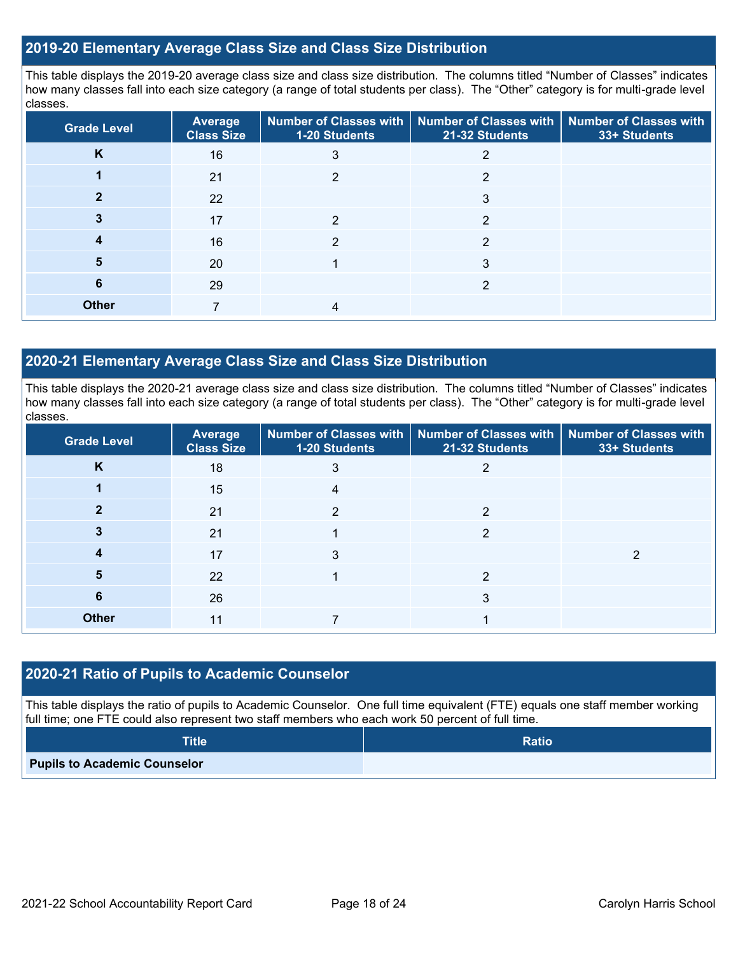## **2019-20 Elementary Average Class Size and Class Size Distribution**

This table displays the 2019-20 average class size and class size distribution. The columns titled "Number of Classes" indicates how many classes fall into each size category (a range of total students per class). The "Other" category is for multi-grade level classes.

| <b>Grade Level</b> | Average<br><b>Class Size</b> | 1-20 Students | Number of Classes with   Number of Classes with<br>21-32 Students | <b>Number of Classes with</b><br>33+ Students |
|--------------------|------------------------------|---------------|-------------------------------------------------------------------|-----------------------------------------------|
| K                  | 16                           | 3             |                                                                   |                                               |
|                    | 21                           | っ             | 2                                                                 |                                               |
|                    | 22                           |               | 3                                                                 |                                               |
|                    | 17                           | 2             | 2                                                                 |                                               |
| 4                  | 16                           | 2             | 2                                                                 |                                               |
| 5                  | 20                           |               | 3                                                                 |                                               |
| 6                  | 29                           |               | 2                                                                 |                                               |
| <b>Other</b>       |                              |               |                                                                   |                                               |

## **2020-21 Elementary Average Class Size and Class Size Distribution**

This table displays the 2020-21 average class size and class size distribution. The columns titled "Number of Classes" indicates how many classes fall into each size category (a range of total students per class). The "Other" category is for multi-grade level classes.

| <b>Grade Level</b> | Average<br><b>Class Size</b> | 1-20 Students | Number of Classes with   Number of Classes with   Number of Classes with<br>21-32 Students | 33+ Students |
|--------------------|------------------------------|---------------|--------------------------------------------------------------------------------------------|--------------|
| K                  | 18                           | 3             | 2                                                                                          |              |
|                    | 15                           | 4             |                                                                                            |              |
| 2                  | 21                           | ◠             | っ                                                                                          |              |
|                    | 21                           |               | っ                                                                                          |              |
|                    | 17                           | 3             |                                                                                            | っ            |
| 5                  | 22                           |               | 2                                                                                          |              |
| 6                  | 26                           |               | 3                                                                                          |              |
| <b>Other</b>       | 11                           |               |                                                                                            |              |

### **2020-21 Ratio of Pupils to Academic Counselor**

This table displays the ratio of pupils to Academic Counselor. One full time equivalent (FTE) equals one staff member working full time; one FTE could also represent two staff members who each work 50 percent of full time.

| <b>Title</b>                        | <b>Ratio</b> |
|-------------------------------------|--------------|
| <b>Pupils to Academic Counselor</b> |              |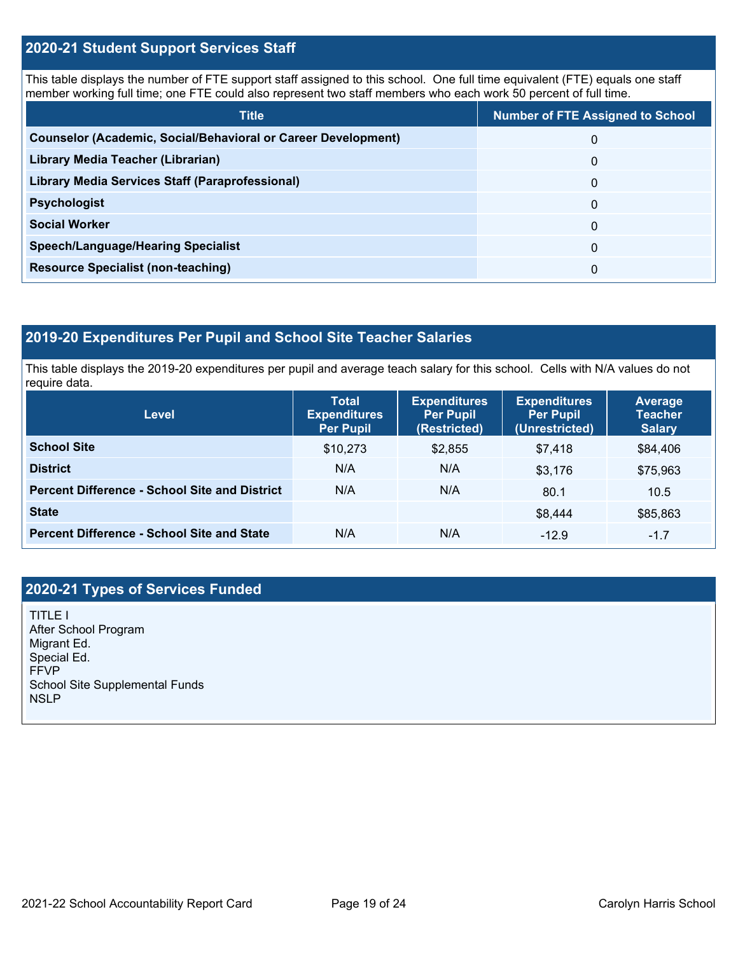## **2020-21 Student Support Services Staff**

This table displays the number of FTE support staff assigned to this school. One full time equivalent (FTE) equals one staff member working full time; one FTE could also represent two staff members who each work 50 percent of full time.

| <b>Title</b>                                                         | <b>Number of FTE Assigned to School</b> |
|----------------------------------------------------------------------|-----------------------------------------|
| <b>Counselor (Academic, Social/Behavioral or Career Development)</b> | 0                                       |
| Library Media Teacher (Librarian)                                    | 0                                       |
| Library Media Services Staff (Paraprofessional)                      | 0                                       |
| <b>Psychologist</b>                                                  | 0                                       |
| <b>Social Worker</b>                                                 | $\Omega$                                |
| <b>Speech/Language/Hearing Specialist</b>                            | 0                                       |
| <b>Resource Specialist (non-teaching)</b>                            | 0                                       |

## **2019-20 Expenditures Per Pupil and School Site Teacher Salaries**

This table displays the 2019-20 expenditures per pupil and average teach salary for this school. Cells with N/A values do not require data.

| <b>Level</b>                                         | <b>Total</b><br><b>Expenditures</b><br><b>Per Pupil</b> | <b>Expenditures</b><br><b>Per Pupil</b><br>(Restricted) | <b>Expenditures</b><br><b>Per Pupil</b><br>(Unrestricted) | <b>Average</b><br><b>Teacher</b><br><b>Salary</b> |
|------------------------------------------------------|---------------------------------------------------------|---------------------------------------------------------|-----------------------------------------------------------|---------------------------------------------------|
| <b>School Site</b>                                   | \$10,273                                                | \$2,855                                                 | \$7,418                                                   | \$84,406                                          |
| <b>District</b>                                      | N/A                                                     | N/A                                                     | \$3.176                                                   | \$75,963                                          |
| <b>Percent Difference - School Site and District</b> | N/A                                                     | N/A                                                     | 80.1                                                      | 10.5                                              |
| <b>State</b>                                         |                                                         |                                                         | \$8,444                                                   | \$85,863                                          |
| <b>Percent Difference - School Site and State</b>    | N/A                                                     | N/A                                                     | $-12.9$                                                   | $-1.7$                                            |

## **2020-21 Types of Services Funded**

TITLE I After School Program Migrant Ed. Special Ed. FFVP School Site Supplemental Funds **NSLP**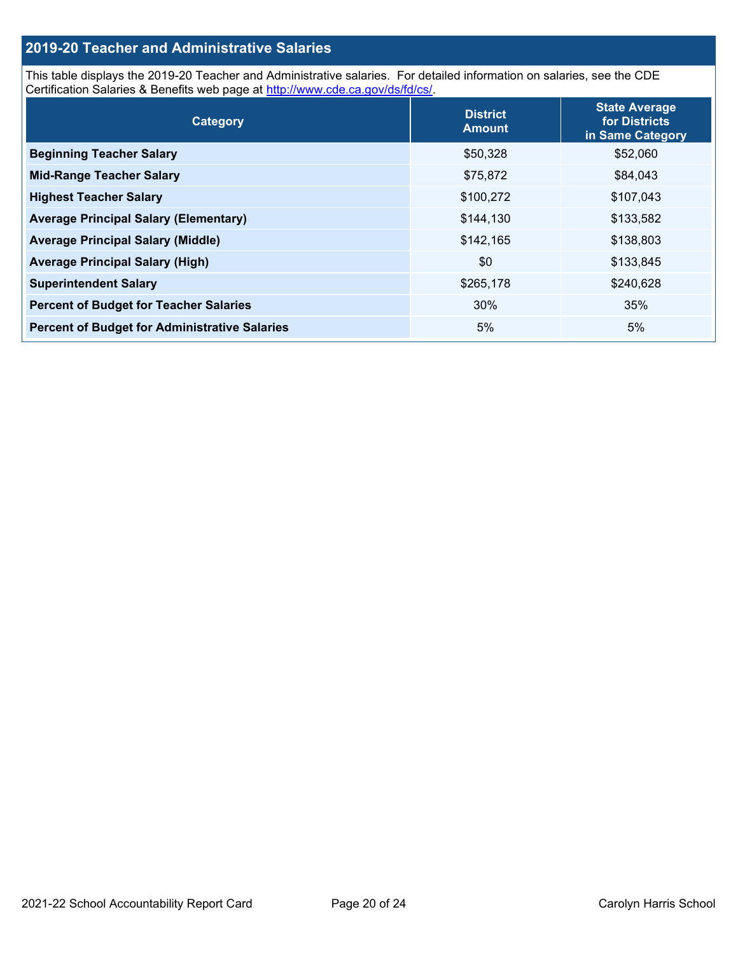## **2019-20 Teacher and Administrative Salaries**

This table displays the 2019-20 Teacher and Administrative salaries. For detailed information on salaries, see the CDE Certification Salaries & Benefits web page at [http://www.cde.ca.gov/ds/fd/cs/.](http://www.cde.ca.gov/ds/fd/cs/)

| Category                                             | <b>District</b><br><b>Amount</b> | <b>State Average</b><br>for Districts<br>in Same Category |
|------------------------------------------------------|----------------------------------|-----------------------------------------------------------|
| <b>Beginning Teacher Salary</b>                      | \$50,328                         | \$52,060                                                  |
| <b>Mid-Range Teacher Salary</b>                      | \$75,872                         | \$84,043                                                  |
| <b>Highest Teacher Salary</b>                        | \$100,272                        | \$107,043                                                 |
| <b>Average Principal Salary (Elementary)</b>         | \$144,130                        | \$133,582                                                 |
| <b>Average Principal Salary (Middle)</b>             | \$142,165                        | \$138,803                                                 |
| <b>Average Principal Salary (High)</b>               | \$0                              | \$133,845                                                 |
| <b>Superintendent Salary</b>                         | \$265,178                        | \$240,628                                                 |
| <b>Percent of Budget for Teacher Salaries</b>        | 30%                              | 35%                                                       |
| <b>Percent of Budget for Administrative Salaries</b> | 5%                               | 5%                                                        |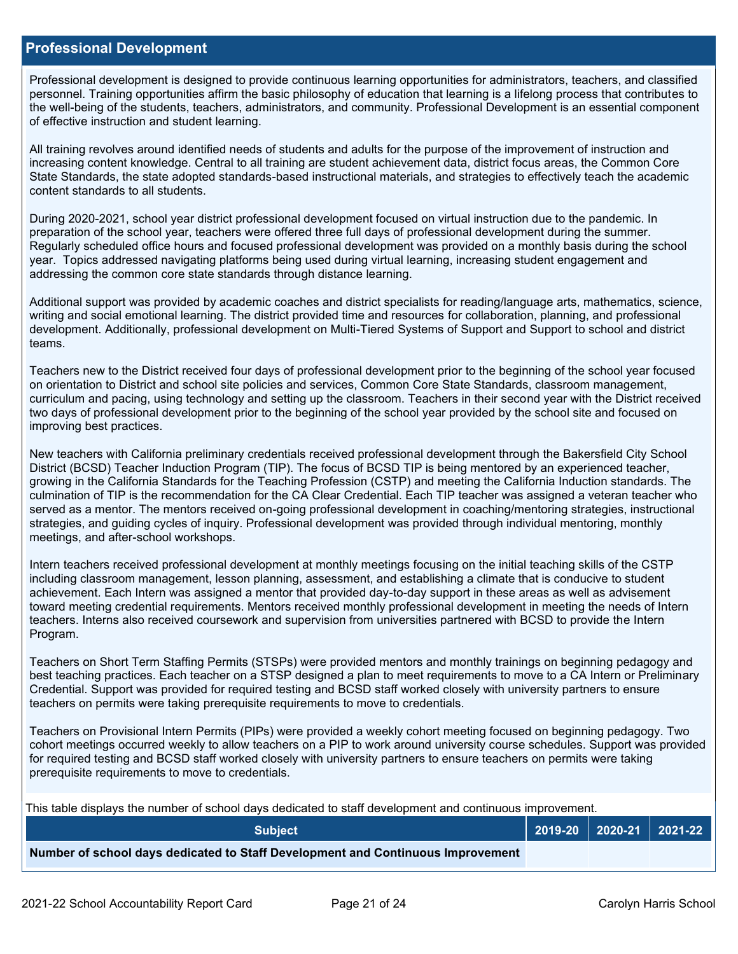### **Professional Development**

Professional development is designed to provide continuous learning opportunities for administrators, teachers, and classified personnel. Training opportunities affirm the basic philosophy of education that learning is a lifelong process that contributes to the well-being of the students, teachers, administrators, and community. Professional Development is an essential component of effective instruction and student learning.

All training revolves around identified needs of students and adults for the purpose of the improvement of instruction and increasing content knowledge. Central to all training are student achievement data, district focus areas, the Common Core State Standards, the state adopted standards-based instructional materials, and strategies to effectively teach the academic content standards to all students.

During 2020-2021, school year district professional development focused on virtual instruction due to the pandemic. In preparation of the school year, teachers were offered three full days of professional development during the summer. Regularly scheduled office hours and focused professional development was provided on a monthly basis during the school year. Topics addressed navigating platforms being used during virtual learning, increasing student engagement and addressing the common core state standards through distance learning.

Additional support was provided by academic coaches and district specialists for reading/language arts, mathematics, science, writing and social emotional learning. The district provided time and resources for collaboration, planning, and professional development. Additionally, professional development on Multi-Tiered Systems of Support and Support to school and district teams.

Teachers new to the District received four days of professional development prior to the beginning of the school year focused on orientation to District and school site policies and services, Common Core State Standards, classroom management, curriculum and pacing, using technology and setting up the classroom. Teachers in their second year with the District received two days of professional development prior to the beginning of the school year provided by the school site and focused on improving best practices.

New teachers with California preliminary credentials received professional development through the Bakersfield City School District (BCSD) Teacher Induction Program (TIP). The focus of BCSD TIP is being mentored by an experienced teacher, growing in the California Standards for the Teaching Profession (CSTP) and meeting the California Induction standards. The culmination of TIP is the recommendation for the CA Clear Credential. Each TIP teacher was assigned a veteran teacher who served as a mentor. The mentors received on-going professional development in coaching/mentoring strategies, instructional strategies, and guiding cycles of inquiry. Professional development was provided through individual mentoring, monthly meetings, and after-school workshops.

Intern teachers received professional development at monthly meetings focusing on the initial teaching skills of the CSTP including classroom management, lesson planning, assessment, and establishing a climate that is conducive to student achievement. Each Intern was assigned a mentor that provided day-to-day support in these areas as well as advisement toward meeting credential requirements. Mentors received monthly professional development in meeting the needs of Intern teachers. Interns also received coursework and supervision from universities partnered with BCSD to provide the Intern Program.

Teachers on Short Term Staffing Permits (STSPs) were provided mentors and monthly trainings on beginning pedagogy and best teaching practices. Each teacher on a STSP designed a plan to meet requirements to move to a CA Intern or Preliminary Credential. Support was provided for required testing and BCSD staff worked closely with university partners to ensure teachers on permits were taking prerequisite requirements to move to credentials.

Teachers on Provisional Intern Permits (PIPs) were provided a weekly cohort meeting focused on beginning pedagogy. Two cohort meetings occurred weekly to allow teachers on a PIP to work around university course schedules. Support was provided for required testing and BCSD staff worked closely with university partners to ensure teachers on permits were taking prerequisite requirements to move to credentials.

This table displays the number of school days dedicated to staff development and continuous improvement.

| <b>Subject</b>                                                                  |  | $2019-20$ 2020-21 2021-22 |
|---------------------------------------------------------------------------------|--|---------------------------|
| Number of school days dedicated to Staff Development and Continuous Improvement |  |                           |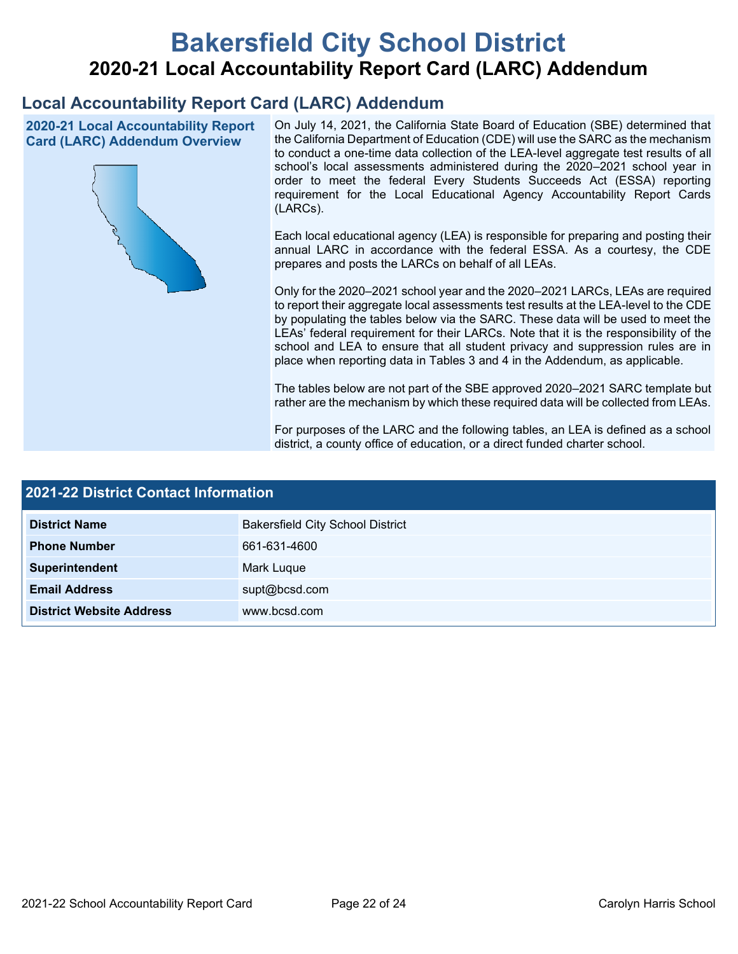# **Bakersfield City School District 2020-21 Local Accountability Report Card (LARC) Addendum**

## **Local Accountability Report Card (LARC) Addendum**

**2020-21 Local Accountability Report Card (LARC) Addendum Overview**



On July 14, 2021, the California State Board of Education (SBE) determined that the California Department of Education (CDE) will use the SARC as the mechanism to conduct a one-time data collection of the LEA-level aggregate test results of all school's local assessments administered during the 2020–2021 school year in order to meet the federal Every Students Succeeds Act (ESSA) reporting requirement for the Local Educational Agency Accountability Report Cards (LARCs).

Each local educational agency (LEA) is responsible for preparing and posting their annual LARC in accordance with the federal ESSA. As a courtesy, the CDE prepares and posts the LARCs on behalf of all LEAs.

Only for the 2020–2021 school year and the 2020–2021 LARCs, LEAs are required to report their aggregate local assessments test results at the LEA-level to the CDE by populating the tables below via the SARC. These data will be used to meet the LEAs' federal requirement for their LARCs. Note that it is the responsibility of the school and LEA to ensure that all student privacy and suppression rules are in place when reporting data in Tables 3 and 4 in the Addendum, as applicable.

The tables below are not part of the SBE approved 2020–2021 SARC template but rather are the mechanism by which these required data will be collected from LEAs.

For purposes of the LARC and the following tables, an LEA is defined as a school district, a county office of education, or a direct funded charter school.

| <b>2021-22 District Contact Information</b> |                                         |  |  |  |
|---------------------------------------------|-----------------------------------------|--|--|--|
| <b>District Name</b>                        | <b>Bakersfield City School District</b> |  |  |  |
| <b>Phone Number</b>                         | 661-631-4600                            |  |  |  |
| Superintendent                              | Mark Luque                              |  |  |  |
| <b>Email Address</b>                        | supt@bcsd.com                           |  |  |  |
| <b>District Website Address</b>             | www.bcsd.com                            |  |  |  |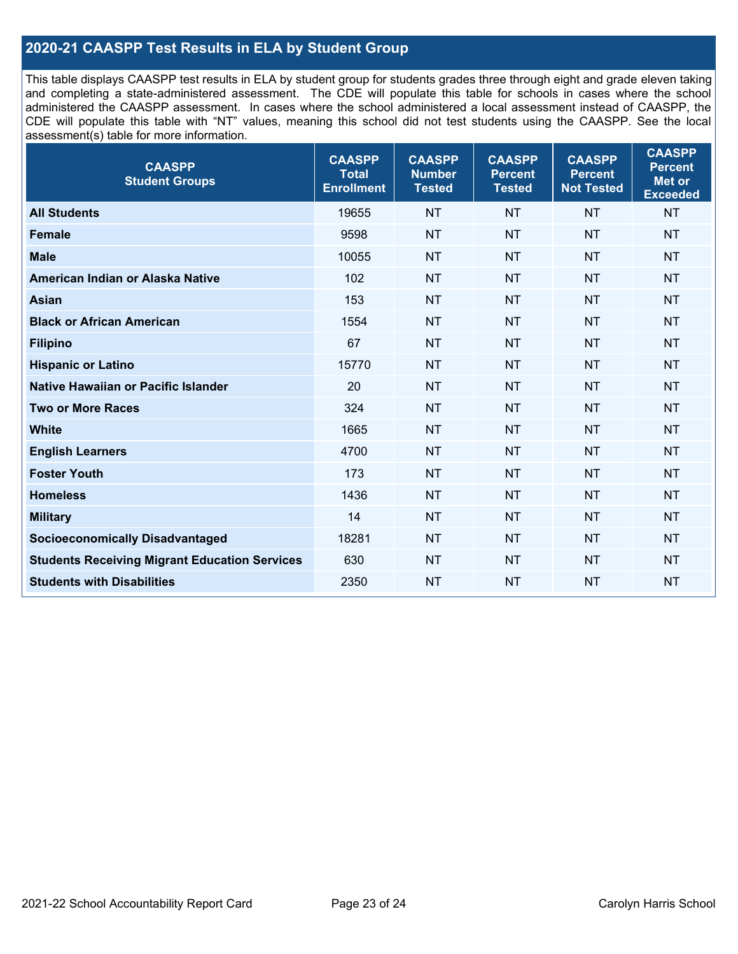## **2020-21 CAASPP Test Results in ELA by Student Group**

This table displays CAASPP test results in ELA by student group for students grades three through eight and grade eleven taking and completing a state-administered assessment. The CDE will populate this table for schools in cases where the school administered the CAASPP assessment. In cases where the school administered a local assessment instead of CAASPP, the CDE will populate this table with "NT" values, meaning this school did not test students using the CAASPP. See the local assessment(s) table for more information.

| <b>CAASPP</b><br><b>Student Groups</b>               | <b>CAASPP</b><br><b>Total</b><br><b>Enrollment</b> | <b>CAASPP</b><br><b>Number</b><br><b>Tested</b> | <b>CAASPP</b><br><b>Percent</b><br><b>Tested</b> | <b>CAASPP</b><br><b>Percent</b><br><b>Not Tested</b> | <b>CAASPP</b><br><b>Percent</b><br>Met or<br><b>Exceeded</b> |
|------------------------------------------------------|----------------------------------------------------|-------------------------------------------------|--------------------------------------------------|------------------------------------------------------|--------------------------------------------------------------|
| <b>All Students</b>                                  | 19655                                              | <b>NT</b>                                       | <b>NT</b>                                        | <b>NT</b>                                            | <b>NT</b>                                                    |
| <b>Female</b>                                        | 9598                                               | <b>NT</b>                                       | <b>NT</b>                                        | <b>NT</b>                                            | <b>NT</b>                                                    |
| <b>Male</b>                                          | 10055                                              | <b>NT</b>                                       | <b>NT</b>                                        | <b>NT</b>                                            | <b>NT</b>                                                    |
| American Indian or Alaska Native                     | 102                                                | <b>NT</b>                                       | <b>NT</b>                                        | <b>NT</b>                                            | <b>NT</b>                                                    |
| <b>Asian</b>                                         | 153                                                | <b>NT</b>                                       | <b>NT</b>                                        | <b>NT</b>                                            | <b>NT</b>                                                    |
| <b>Black or African American</b>                     | 1554                                               | <b>NT</b>                                       | <b>NT</b>                                        | <b>NT</b>                                            | NT                                                           |
| <b>Filipino</b>                                      | 67                                                 | <b>NT</b>                                       | <b>NT</b>                                        | <b>NT</b>                                            | <b>NT</b>                                                    |
| <b>Hispanic or Latino</b>                            | 15770                                              | <b>NT</b>                                       | <b>NT</b>                                        | <b>NT</b>                                            | <b>NT</b>                                                    |
| Native Hawaiian or Pacific Islander                  | 20                                                 | <b>NT</b>                                       | <b>NT</b>                                        | <b>NT</b>                                            | <b>NT</b>                                                    |
| <b>Two or More Races</b>                             | 324                                                | <b>NT</b>                                       | <b>NT</b>                                        | <b>NT</b>                                            | <b>NT</b>                                                    |
| <b>White</b>                                         | 1665                                               | <b>NT</b>                                       | <b>NT</b>                                        | <b>NT</b>                                            | <b>NT</b>                                                    |
| <b>English Learners</b>                              | 4700                                               | <b>NT</b>                                       | <b>NT</b>                                        | <b>NT</b>                                            | <b>NT</b>                                                    |
| <b>Foster Youth</b>                                  | 173                                                | <b>NT</b>                                       | <b>NT</b>                                        | <b>NT</b>                                            | <b>NT</b>                                                    |
| <b>Homeless</b>                                      | 1436                                               | <b>NT</b>                                       | <b>NT</b>                                        | <b>NT</b>                                            | <b>NT</b>                                                    |
| <b>Military</b>                                      | 14                                                 | <b>NT</b>                                       | <b>NT</b>                                        | <b>NT</b>                                            | <b>NT</b>                                                    |
| <b>Socioeconomically Disadvantaged</b>               | 18281                                              | <b>NT</b>                                       | <b>NT</b>                                        | <b>NT</b>                                            | <b>NT</b>                                                    |
| <b>Students Receiving Migrant Education Services</b> | 630                                                | <b>NT</b>                                       | <b>NT</b>                                        | <b>NT</b>                                            | NT                                                           |
| <b>Students with Disabilities</b>                    | 2350                                               | <b>NT</b>                                       | <b>NT</b>                                        | <b>NT</b>                                            | NT                                                           |